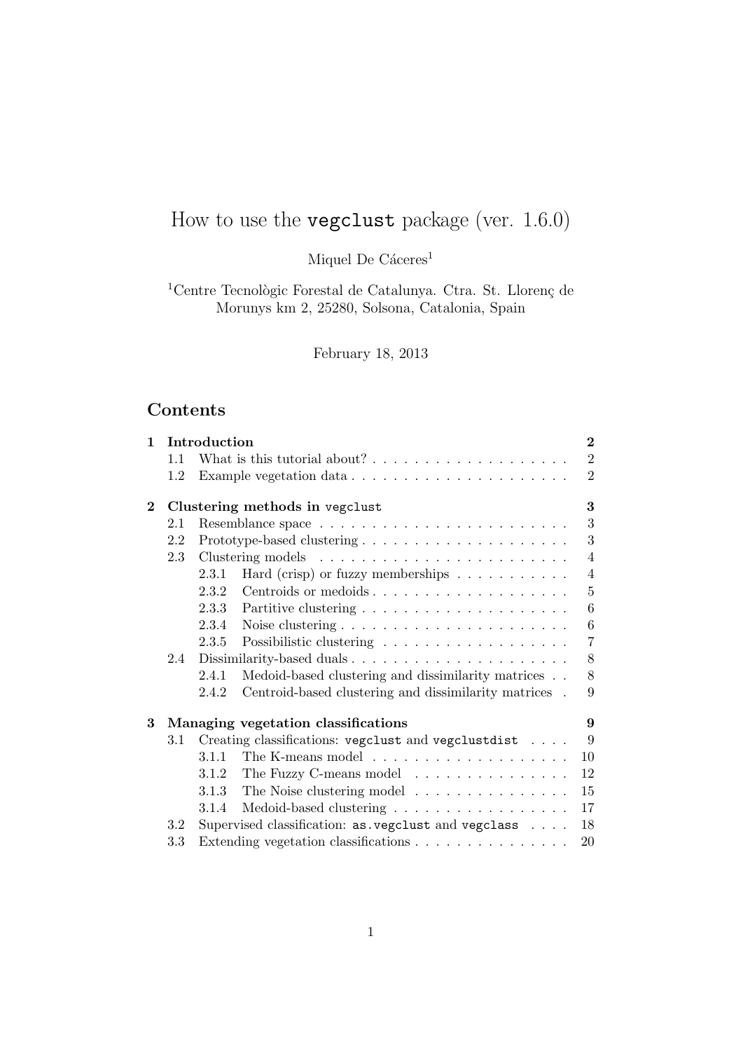# How to use the vegclust package (ver. 1.6.0)

Miquel De Cáceres<sup>1</sup>

 $^1\rm{Centre}$  Tecnològic Forestal de Catalunya. Ctra. St. Llorenç de Morunys km 2, 25280, Solsona, Catalonia, Spain

February 18, 2013

## Contents

| Introduction |                                                       |                         |                                                                                                                                                                                                                                                                                                                                                                                                                                                                                                                                                                                    |  |  |  |  |  |  |  |  |  |  |
|--------------|-------------------------------------------------------|-------------------------|------------------------------------------------------------------------------------------------------------------------------------------------------------------------------------------------------------------------------------------------------------------------------------------------------------------------------------------------------------------------------------------------------------------------------------------------------------------------------------------------------------------------------------------------------------------------------------|--|--|--|--|--|--|--|--|--|--|
| 1.1          |                                                       |                         |                                                                                                                                                                                                                                                                                                                                                                                                                                                                                                                                                                                    |  |  |  |  |  |  |  |  |  |  |
| 1.2          |                                                       |                         | $\overline{2}$                                                                                                                                                                                                                                                                                                                                                                                                                                                                                                                                                                     |  |  |  |  |  |  |  |  |  |  |
|              |                                                       |                         |                                                                                                                                                                                                                                                                                                                                                                                                                                                                                                                                                                                    |  |  |  |  |  |  |  |  |  |  |
| 2.1          |                                                       |                         | 3                                                                                                                                                                                                                                                                                                                                                                                                                                                                                                                                                                                  |  |  |  |  |  |  |  |  |  |  |
| 2.2          |                                                       |                         | 3                                                                                                                                                                                                                                                                                                                                                                                                                                                                                                                                                                                  |  |  |  |  |  |  |  |  |  |  |
| 2.3          |                                                       |                         | $\overline{4}$                                                                                                                                                                                                                                                                                                                                                                                                                                                                                                                                                                     |  |  |  |  |  |  |  |  |  |  |
|              | 2.3.1                                                 |                         | $\overline{4}$                                                                                                                                                                                                                                                                                                                                                                                                                                                                                                                                                                     |  |  |  |  |  |  |  |  |  |  |
|              | 2.3.2                                                 |                         | $\overline{5}$                                                                                                                                                                                                                                                                                                                                                                                                                                                                                                                                                                     |  |  |  |  |  |  |  |  |  |  |
|              | 2.3.3                                                 |                         | 6                                                                                                                                                                                                                                                                                                                                                                                                                                                                                                                                                                                  |  |  |  |  |  |  |  |  |  |  |
|              |                                                       |                         | 6                                                                                                                                                                                                                                                                                                                                                                                                                                                                                                                                                                                  |  |  |  |  |  |  |  |  |  |  |
|              | 2.3.5                                                 |                         | $\overline{7}$                                                                                                                                                                                                                                                                                                                                                                                                                                                                                                                                                                     |  |  |  |  |  |  |  |  |  |  |
|              |                                                       |                         |                                                                                                                                                                                                                                                                                                                                                                                                                                                                                                                                                                                    |  |  |  |  |  |  |  |  |  |  |
|              |                                                       |                         |                                                                                                                                                                                                                                                                                                                                                                                                                                                                                                                                                                                    |  |  |  |  |  |  |  |  |  |  |
|              | Centroid-based clustering and dissimilarity matrices. | 8<br>9                  |                                                                                                                                                                                                                                                                                                                                                                                                                                                                                                                                                                                    |  |  |  |  |  |  |  |  |  |  |
|              |                                                       |                         | 9                                                                                                                                                                                                                                                                                                                                                                                                                                                                                                                                                                                  |  |  |  |  |  |  |  |  |  |  |
|              | 9                                                     |                         |                                                                                                                                                                                                                                                                                                                                                                                                                                                                                                                                                                                    |  |  |  |  |  |  |  |  |  |  |
|              |                                                       |                         | 10                                                                                                                                                                                                                                                                                                                                                                                                                                                                                                                                                                                 |  |  |  |  |  |  |  |  |  |  |
|              |                                                       |                         | 12                                                                                                                                                                                                                                                                                                                                                                                                                                                                                                                                                                                 |  |  |  |  |  |  |  |  |  |  |
|              | 3.1.3                                                 |                         | 15                                                                                                                                                                                                                                                                                                                                                                                                                                                                                                                                                                                 |  |  |  |  |  |  |  |  |  |  |
|              | 3.1.4                                                 |                         | 17                                                                                                                                                                                                                                                                                                                                                                                                                                                                                                                                                                                 |  |  |  |  |  |  |  |  |  |  |
|              |                                                       |                         | 18                                                                                                                                                                                                                                                                                                                                                                                                                                                                                                                                                                                 |  |  |  |  |  |  |  |  |  |  |
| 3.3          |                                                       |                         |                                                                                                                                                                                                                                                                                                                                                                                                                                                                                                                                                                                    |  |  |  |  |  |  |  |  |  |  |
|              | 2.4<br>3.1<br>3.2                                     | 2.3.4<br>2.4.1<br>2.4.2 | Clustering methods in vegclust<br>Hard (crisp) or fuzzy memberships $\dots \dots \dots$<br>Centroids or medoids<br>Dissimilarity-based duals<br>Medoid-based clustering and dissimilarity matrices<br>Managing vegetation classifications<br>Creating classifications: vegclust and vegclustdist<br>3.1.1<br>The Fuzzy C-means model<br>3.1.2<br>The Noise clustering model<br>Medoid-based clustering $\dots \dots \dots \dots \dots \dots$<br>Supervised classification: as . vegclust and vegclass<br>Extending vegetation classifications $\ldots \ldots \ldots \ldots \ldots$ |  |  |  |  |  |  |  |  |  |  |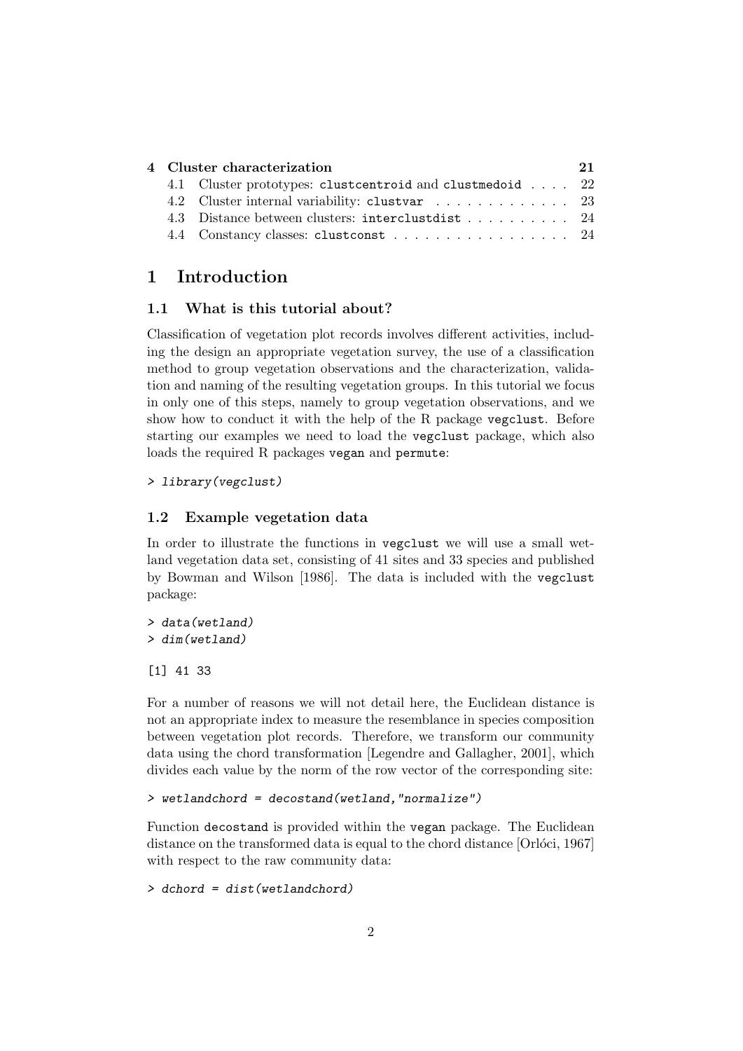| 4 Cluster characterization |                                                           |  |  |  |  |  |  |  |  |  |
|----------------------------|-----------------------------------------------------------|--|--|--|--|--|--|--|--|--|
|                            | 4.1 Cluster prototypes: clustcentroid and clustmedoid  22 |  |  |  |  |  |  |  |  |  |
|                            |                                                           |  |  |  |  |  |  |  |  |  |
|                            | 4.3 Distance between clusters: interclustdist 24          |  |  |  |  |  |  |  |  |  |
|                            |                                                           |  |  |  |  |  |  |  |  |  |

## 1 Introduction

## 1.1 What is this tutorial about?

Classification of vegetation plot records involves different activities, including the design an appropriate vegetation survey, the use of a classification method to group vegetation observations and the characterization, validation and naming of the resulting vegetation groups. In this tutorial we focus in only one of this steps, namely to group vegetation observations, and we show how to conduct it with the help of the R package vegclust. Before starting our examples we need to load the vegclust package, which also loads the required R packages vegan and permute:

## > library(vegclust)

## 1.2 Example vegetation data

In order to illustrate the functions in vegclust we will use a small wetland vegetation data set, consisting of 41 sites and 33 species and published by Bowman and Wilson [1986]. The data is included with the vegclust package:

> data(wetland) > dim(wetland)

[1] 41 33

For a number of reasons we will not detail here, the Euclidean distance is not an appropriate index to measure the resemblance in species composition between vegetation plot records. Therefore, we transform our community data using the chord transformation [Legendre and Gallagher, 2001], which divides each value by the norm of the row vector of the corresponding site:

```
> wetlandchord = decostand(wetland,"normalize")
```
Function decostand is provided within the vegan package. The Euclidean distance on the transformed data is equal to the chord distance [Orloci, 1967] with respect to the raw community data:

```
> dchord = dist(wetlandchord)
```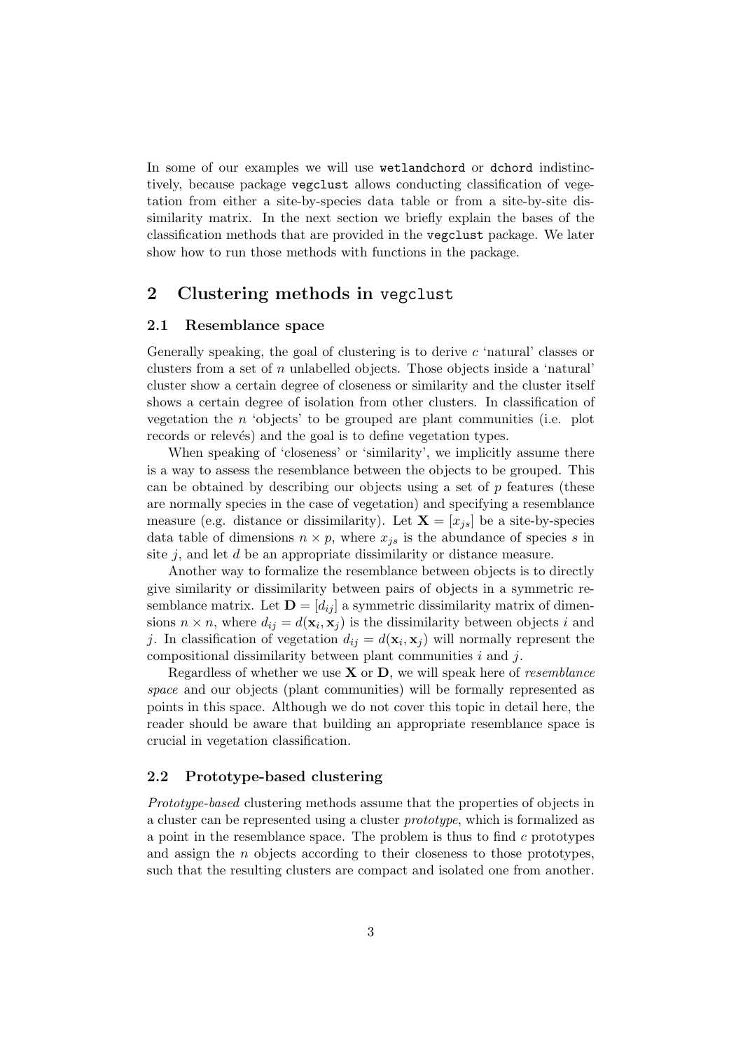In some of our examples we will use wetlandchord or dchord indistinctively, because package vegclust allows conducting classification of vegetation from either a site-by-species data table or from a site-by-site dissimilarity matrix. In the next section we briefly explain the bases of the classification methods that are provided in the vegclust package. We later show how to run those methods with functions in the package.

## 2 Clustering methods in vegclust

## 2.1 Resemblance space

Generally speaking, the goal of clustering is to derive c 'natural' classes or clusters from a set of n unlabelled objects. Those objects inside a 'natural' cluster show a certain degree of closeness or similarity and the cluster itself shows a certain degree of isolation from other clusters. In classification of vegetation the  $n$  'objects' to be grouped are plant communities (i.e. plot records or relevés) and the goal is to define vegetation types.

When speaking of 'closeness' or 'similarity', we implicitly assume there is a way to assess the resemblance between the objects to be grouped. This can be obtained by describing our objects using a set of  $p$  features (these are normally species in the case of vegetation) and specifying a resemblance measure (e.g. distance or dissimilarity). Let  $X = [x_{is}]$  be a site-by-species data table of dimensions  $n \times p$ , where  $x_{js}$  is the abundance of species s in site  $j$ , and let  $d$  be an appropriate dissimilarity or distance measure.

Another way to formalize the resemblance between objects is to directly give similarity or dissimilarity between pairs of objects in a symmetric resemblance matrix. Let  $\mathbf{D} = [d_{ij}]$  a symmetric dissimilarity matrix of dimensions  $n \times n$ , where  $d_{ij} = d(\mathbf{x}_i, \mathbf{x}_j)$  is the dissimilarity between objects i and j. In classification of vegetation  $d_{ij} = d(\mathbf{x}_i, \mathbf{x}_j)$  will normally represent the compositional dissimilarity between plant communities  $i$  and  $j$ .

Regardless of whether we use  $X$  or  $D$ , we will speak here of *resemblance* space and our objects (plant communities) will be formally represented as points in this space. Although we do not cover this topic in detail here, the reader should be aware that building an appropriate resemblance space is crucial in vegetation classification.

## 2.2 Prototype-based clustering

Prototype-based clustering methods assume that the properties of objects in a cluster can be represented using a cluster prototype, which is formalized as a point in the resemblance space. The problem is thus to find  $c$  prototypes and assign the n objects according to their closeness to those prototypes, such that the resulting clusters are compact and isolated one from another.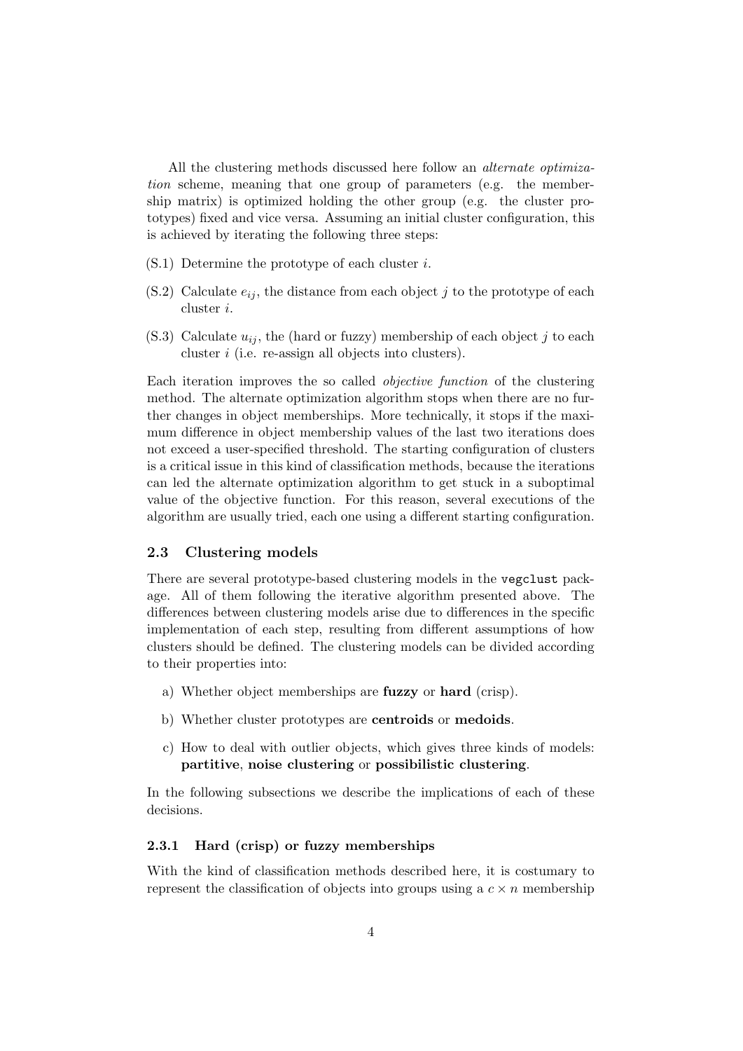All the clustering methods discussed here follow an alternate optimization scheme, meaning that one group of parameters (e.g. the membership matrix) is optimized holding the other group (e.g. the cluster prototypes) fixed and vice versa. Assuming an initial cluster configuration, this is achieved by iterating the following three steps:

- (S.1) Determine the prototype of each cluster i.
- (S.2) Calculate  $e_{ij}$ , the distance from each object j to the prototype of each cluster i.
- (S.3) Calculate  $u_{ij}$ , the (hard or fuzzy) membership of each object j to each cluster i (i.e. re-assign all objects into clusters).

Each iteration improves the so called objective function of the clustering method. The alternate optimization algorithm stops when there are no further changes in object memberships. More technically, it stops if the maximum difference in object membership values of the last two iterations does not exceed a user-specified threshold. The starting configuration of clusters is a critical issue in this kind of classification methods, because the iterations can led the alternate optimization algorithm to get stuck in a suboptimal value of the objective function. For this reason, several executions of the algorithm are usually tried, each one using a different starting configuration.

## 2.3 Clustering models

There are several prototype-based clustering models in the vegclust package. All of them following the iterative algorithm presented above. The differences between clustering models arise due to differences in the specific implementation of each step, resulting from different assumptions of how clusters should be defined. The clustering models can be divided according to their properties into:

- a) Whether object memberships are fuzzy or hard (crisp).
- b) Whether cluster prototypes are centroids or medoids.
- c) How to deal with outlier objects, which gives three kinds of models: partitive, noise clustering or possibilistic clustering.

In the following subsections we describe the implications of each of these decisions.

## 2.3.1 Hard (crisp) or fuzzy memberships

With the kind of classification methods described here, it is costumary to represent the classification of objects into groups using a  $c \times n$  membership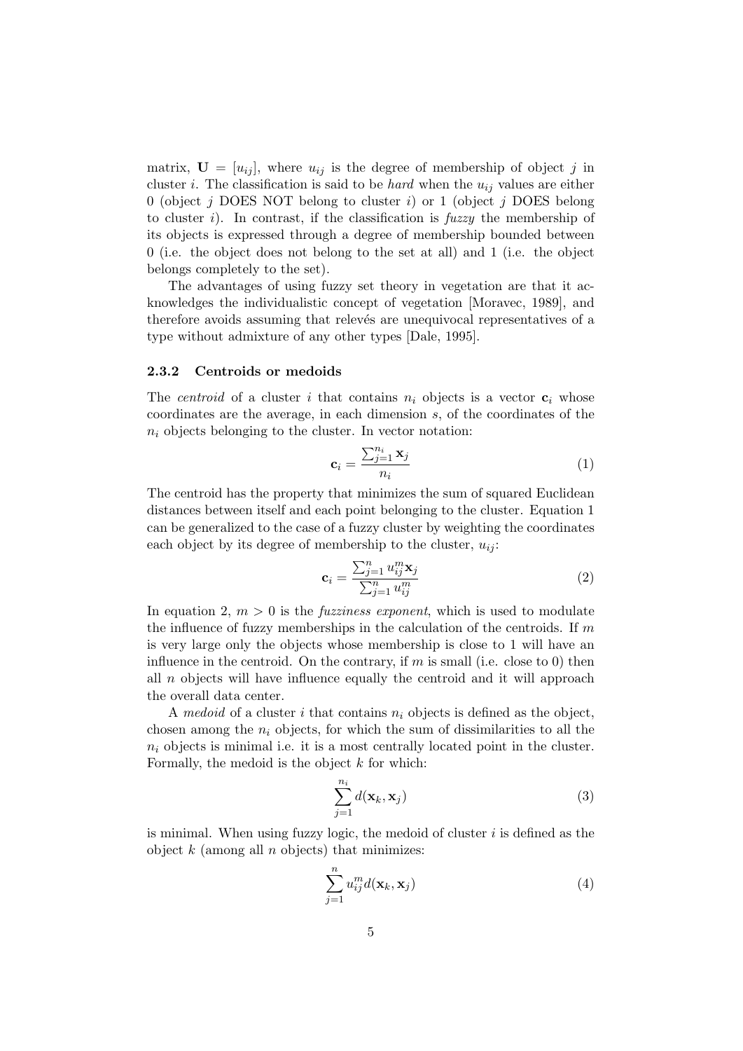matrix,  $\mathbf{U} = [u_{ij}]$ , where  $u_{ij}$  is the degree of membership of object j in cluster i. The classification is said to be *hard* when the  $u_{ij}$  values are either 0 (object j DOES NOT belong to cluster i) or 1 (object j DOES belong to cluster i). In contrast, if the classification is  $fuzzy$  the membership of its objects is expressed through a degree of membership bounded between 0 (i.e. the object does not belong to the set at all) and 1 (i.e. the object belongs completely to the set).

The advantages of using fuzzy set theory in vegetation are that it acknowledges the individualistic concept of vegetation [Moravec, 1989], and therefore avoids assuming that relevés are unequivocal representatives of a type without admixture of any other types [Dale, 1995].

#### 2.3.2 Centroids or medoids

The *centroid* of a cluster i that contains  $n_i$  objects is a vector  $c_i$  whose coordinates are the average, in each dimension s, of the coordinates of the  $n_i$  objects belonging to the cluster. In vector notation:

$$
\mathbf{c}_{i} = \frac{\sum_{j=1}^{n_{i}} \mathbf{x}_{j}}{n_{i}} \tag{1}
$$

The centroid has the property that minimizes the sum of squared Euclidean distances between itself and each point belonging to the cluster. Equation 1 can be generalized to the case of a fuzzy cluster by weighting the coordinates each object by its degree of membership to the cluster,  $u_{ii}$ :

$$
\mathbf{c}_{i} = \frac{\sum_{j=1}^{n} u_{ij}^{m} \mathbf{x}_{j}}{\sum_{j=1}^{n} u_{ij}^{m}}
$$
(2)

In equation 2,  $m > 0$  is the *fuzziness exponent*, which is used to modulate the influence of fuzzy memberships in the calculation of the centroids. If  $m$ is very large only the objects whose membership is close to 1 will have an influence in the centroid. On the contrary, if  $m$  is small (i.e. close to 0) then all  $n$  objects will have influence equally the centroid and it will approach the overall data center.

A medoid of a cluster i that contains  $n_i$  objects is defined as the object, chosen among the  $n_i$  objects, for which the sum of dissimilarities to all the  $n_i$  objects is minimal i.e. it is a most centrally located point in the cluster. Formally, the medoid is the object  $k$  for which:

$$
\sum_{j=1}^{n_i} d(\mathbf{x}_k, \mathbf{x}_j)
$$
\n(3)

is minimal. When using fuzzy logic, the medoid of cluster  $i$  is defined as the object  $k$  (among all  $n$  objects) that minimizes:

$$
\sum_{j=1}^{n} u_{ij}^{m} d(\mathbf{x}_{k}, \mathbf{x}_{j})
$$
\n(4)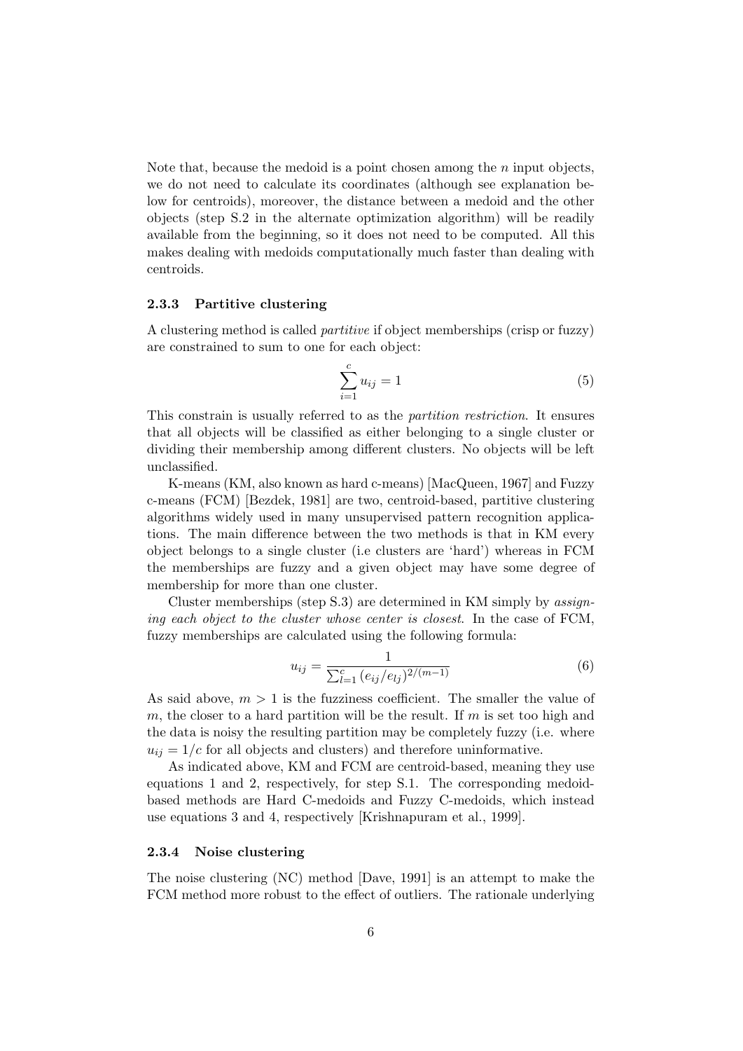Note that, because the medoid is a point chosen among the  $n$  input objects, we do not need to calculate its coordinates (although see explanation below for centroids), moreover, the distance between a medoid and the other objects (step S.2 in the alternate optimization algorithm) will be readily available from the beginning, so it does not need to be computed. All this makes dealing with medoids computationally much faster than dealing with centroids.

#### 2.3.3 Partitive clustering

A clustering method is called partitive if object memberships (crisp or fuzzy) are constrained to sum to one for each object:

$$
\sum_{i=1}^{c} u_{ij} = 1
$$
 (5)

This constrain is usually referred to as the partition restriction. It ensures that all objects will be classified as either belonging to a single cluster or dividing their membership among different clusters. No objects will be left unclassified.

K-means (KM, also known as hard c-means) [MacQueen, 1967] and Fuzzy c-means (FCM) [Bezdek, 1981] are two, centroid-based, partitive clustering algorithms widely used in many unsupervised pattern recognition applications. The main difference between the two methods is that in KM every object belongs to a single cluster (i.e clusters are 'hard') whereas in FCM the memberships are fuzzy and a given object may have some degree of membership for more than one cluster.

Cluster memberships (step S.3) are determined in KM simply by assigning each object to the cluster whose center is closest. In the case of FCM, fuzzy memberships are calculated using the following formula:

$$
u_{ij} = \frac{1}{\sum_{l=1}^{c} (e_{ij}/e_{lj})^{2/(m-1)}}\tag{6}
$$

As said above,  $m > 1$  is the fuzziness coefficient. The smaller the value of m, the closer to a hard partition will be the result. If  $m$  is set too high and the data is noisy the resulting partition may be completely fuzzy (i.e. where  $u_{ij} = 1/c$  for all objects and clusters) and therefore uninformative.

As indicated above, KM and FCM are centroid-based, meaning they use equations 1 and 2, respectively, for step S.1. The corresponding medoidbased methods are Hard C-medoids and Fuzzy C-medoids, which instead use equations 3 and 4, respectively [Krishnapuram et al., 1999].

## 2.3.4 Noise clustering

The noise clustering (NC) method [Dave, 1991] is an attempt to make the FCM method more robust to the effect of outliers. The rationale underlying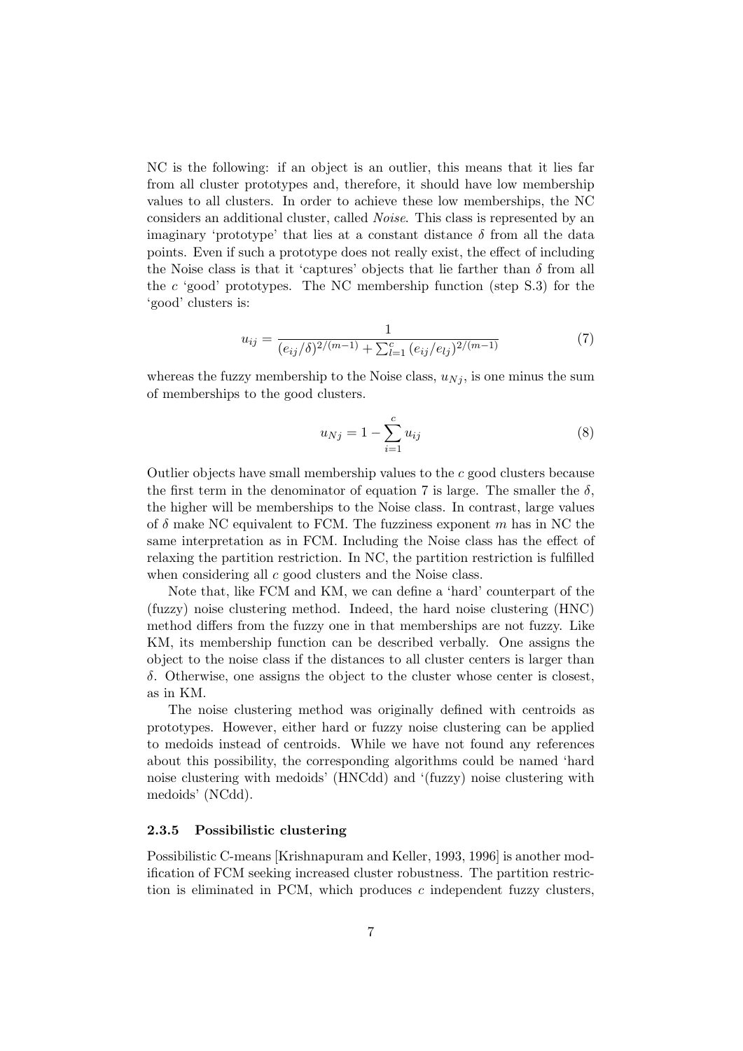NC is the following: if an object is an outlier, this means that it lies far from all cluster prototypes and, therefore, it should have low membership values to all clusters. In order to achieve these low memberships, the NC considers an additional cluster, called Noise. This class is represented by an imaginary 'prototype' that lies at a constant distance  $\delta$  from all the data points. Even if such a prototype does not really exist, the effect of including the Noise class is that it 'captures' objects that lie farther than  $\delta$  from all the  $c$  'good' prototypes. The NC membership function (step  $S.3$ ) for the 'good' clusters is:

$$
u_{ij} = \frac{1}{(e_{ij}/\delta)^{2/(m-1)} + \sum_{l=1}^{c} (e_{ij}/e_{lj})^{2/(m-1)}}
$$
(7)

whereas the fuzzy membership to the Noise class,  $u_{Nj}$ , is one minus the sum of memberships to the good clusters.

$$
u_{Nj} = 1 - \sum_{i=1}^{c} u_{ij}
$$
 (8)

Outlier objects have small membership values to the c good clusters because the first term in the denominator of equation 7 is large. The smaller the  $\delta$ , the higher will be memberships to the Noise class. In contrast, large values of  $\delta$  make NC equivalent to FCM. The fuzziness exponent m has in NC the same interpretation as in FCM. Including the Noise class has the effect of relaxing the partition restriction. In NC, the partition restriction is fulfilled when considering all c good clusters and the Noise class.

Note that, like FCM and KM, we can define a 'hard' counterpart of the (fuzzy) noise clustering method. Indeed, the hard noise clustering (HNC) method differs from the fuzzy one in that memberships are not fuzzy. Like KM, its membership function can be described verbally. One assigns the object to the noise class if the distances to all cluster centers is larger than δ. Otherwise, one assigns the object to the cluster whose center is closest, as in KM.

The noise clustering method was originally defined with centroids as prototypes. However, either hard or fuzzy noise clustering can be applied to medoids instead of centroids. While we have not found any references about this possibility, the corresponding algorithms could be named 'hard noise clustering with medoids' (HNCdd) and '(fuzzy) noise clustering with medoids' (NCdd).

## 2.3.5 Possibilistic clustering

Possibilistic C-means [Krishnapuram and Keller, 1993, 1996] is another modification of FCM seeking increased cluster robustness. The partition restriction is eliminated in PCM, which produces  $c$  independent fuzzy clusters,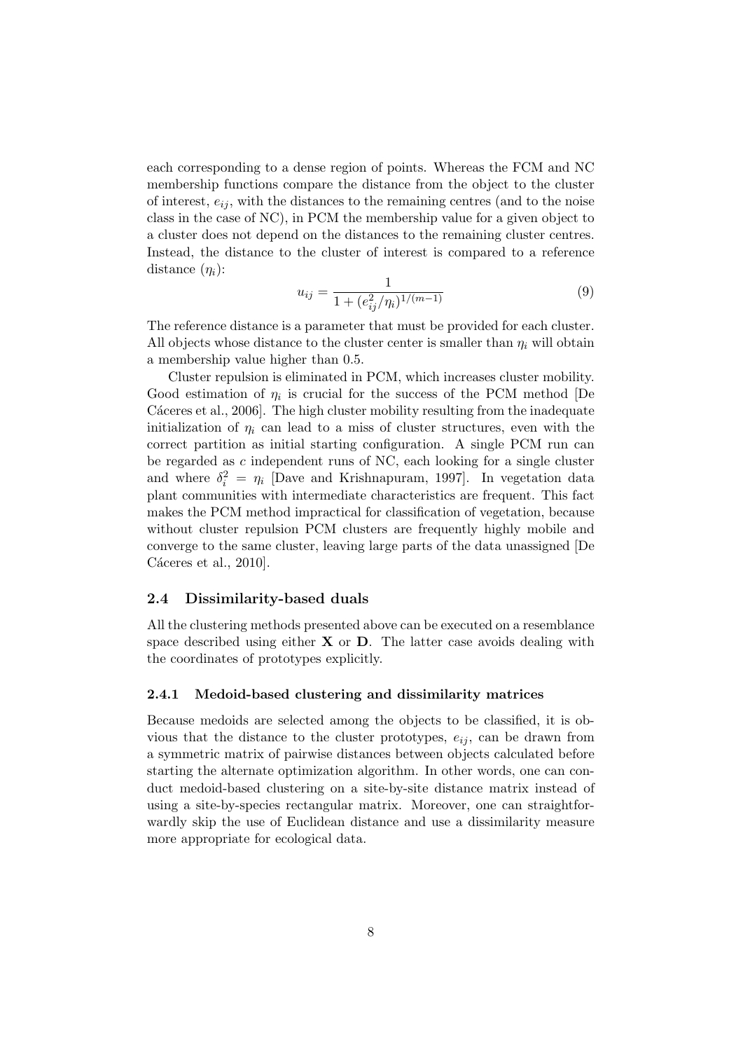each corresponding to a dense region of points. Whereas the FCM and NC membership functions compare the distance from the object to the cluster of interest,  $e_{ij}$ , with the distances to the remaining centres (and to the noise class in the case of NC), in PCM the membership value for a given object to a cluster does not depend on the distances to the remaining cluster centres. Instead, the distance to the cluster of interest is compared to a reference distance  $(\eta_i)$ :

$$
u_{ij} = \frac{1}{1 + (e_{ij}^2/\eta_i)^{1/(m-1)}}\tag{9}
$$

The reference distance is a parameter that must be provided for each cluster. All objects whose distance to the cluster center is smaller than  $\eta_i$  will obtain a membership value higher than 0.5.

Cluster repulsion is eliminated in PCM, which increases cluster mobility. Good estimation of  $\eta_i$  is crucial for the success of the PCM method [De Cáceres et al., 2006]. The high cluster mobility resulting from the inadequate initialization of  $\eta_i$  can lead to a miss of cluster structures, even with the correct partition as initial starting configuration. A single PCM run can be regarded as c independent runs of NC, each looking for a single cluster and where  $\delta_i^2 = \eta_i$  [Dave and Krishnapuram, 1997]. In vegetation data plant communities with intermediate characteristics are frequent. This fact makes the PCM method impractical for classification of vegetation, because without cluster repulsion PCM clusters are frequently highly mobile and converge to the same cluster, leaving large parts of the data unassigned [De Cáceres et al.,  $2010$ .

## 2.4 Dissimilarity-based duals

All the clustering methods presented above can be executed on a resemblance space described using either  $X$  or  $D$ . The latter case avoids dealing with the coordinates of prototypes explicitly.

## 2.4.1 Medoid-based clustering and dissimilarity matrices

Because medoids are selected among the objects to be classified, it is obvious that the distance to the cluster prototypes,  $e_{ij}$ , can be drawn from a symmetric matrix of pairwise distances between objects calculated before starting the alternate optimization algorithm. In other words, one can conduct medoid-based clustering on a site-by-site distance matrix instead of using a site-by-species rectangular matrix. Moreover, one can straightforwardly skip the use of Euclidean distance and use a dissimilarity measure more appropriate for ecological data.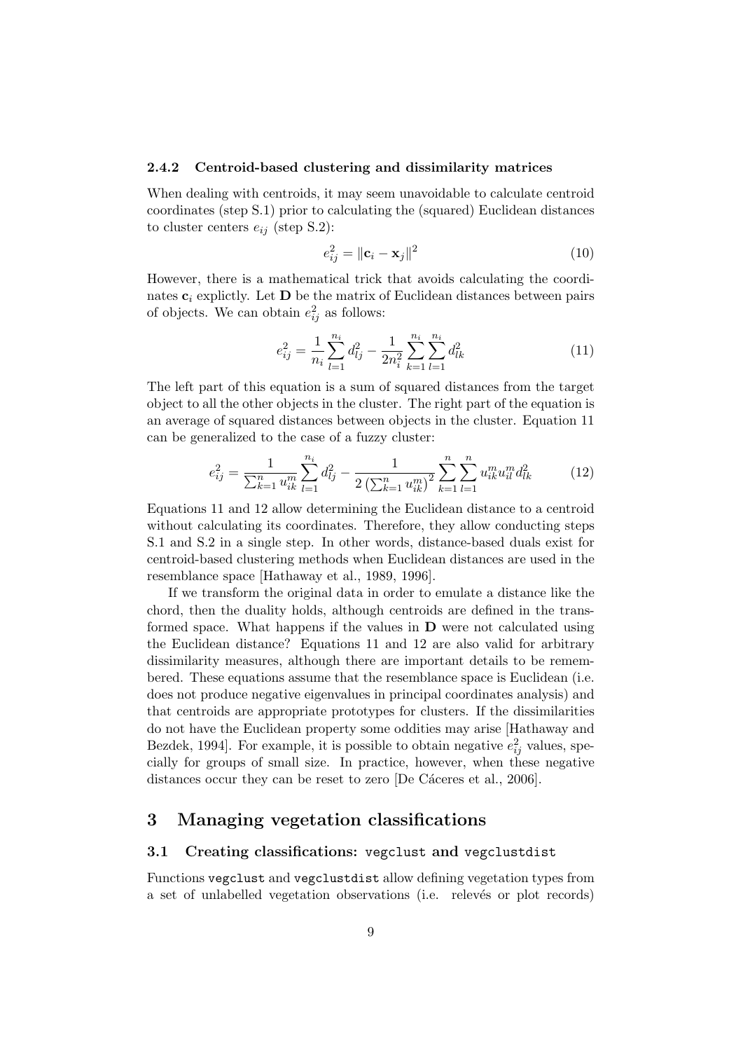#### 2.4.2 Centroid-based clustering and dissimilarity matrices

When dealing with centroids, it may seem unavoidable to calculate centroid coordinates (step S.1) prior to calculating the (squared) Euclidean distances to cluster centers  $e_{ij}$  (step S.2):

$$
e_{ij}^2 = \|\mathbf{c}_i - \mathbf{x}_j\|^2 \tag{10}
$$

However, there is a mathematical trick that avoids calculating the coordinates  $c_i$  explictly. Let **D** be the matrix of Euclidean distances between pairs of objects. We can obtain  $e_{ij}^2$  as follows:

$$
e_{ij}^2 = \frac{1}{n_i} \sum_{l=1}^{n_i} d_{lj}^2 - \frac{1}{2n_i^2} \sum_{k=1}^{n_i} \sum_{l=1}^{n_i} d_{lk}^2
$$
 (11)

The left part of this equation is a sum of squared distances from the target object to all the other objects in the cluster. The right part of the equation is an average of squared distances between objects in the cluster. Equation 11 can be generalized to the case of a fuzzy cluster:

$$
e_{ij}^2 = \frac{1}{\sum_{k=1}^n u_{ik}^m} \sum_{l=1}^{n_i} d_{lj}^2 - \frac{1}{2\left(\sum_{k=1}^n u_{ik}^m\right)^2} \sum_{k=1}^n \sum_{l=1}^n u_{ik}^m u_{il}^m d_{lk}^2 \tag{12}
$$

Equations 11 and 12 allow determining the Euclidean distance to a centroid without calculating its coordinates. Therefore, they allow conducting steps S.1 and S.2 in a single step. In other words, distance-based duals exist for centroid-based clustering methods when Euclidean distances are used in the resemblance space [Hathaway et al., 1989, 1996].

If we transform the original data in order to emulate a distance like the chord, then the duality holds, although centroids are defined in the transformed space. What happens if the values in  **were not calculated using** the Euclidean distance? Equations 11 and 12 are also valid for arbitrary dissimilarity measures, although there are important details to be remembered. These equations assume that the resemblance space is Euclidean (i.e. does not produce negative eigenvalues in principal coordinates analysis) and that centroids are appropriate prototypes for clusters. If the dissimilarities do not have the Euclidean property some oddities may arise [Hathaway and Bezdek, 1994]. For example, it is possible to obtain negative  $e_{ij}^2$  values, specially for groups of small size. In practice, however, when these negative distances occur they can be reset to zero [De Cáceres et al., 2006].

## 3 Managing vegetation classifications

## 3.1 Creating classifications: vegclust and vegclustdist

Functions vegclust and vegclustdist allow defining vegetation types from a set of unlabelled vegetation observations (i.e. relevés or plot records)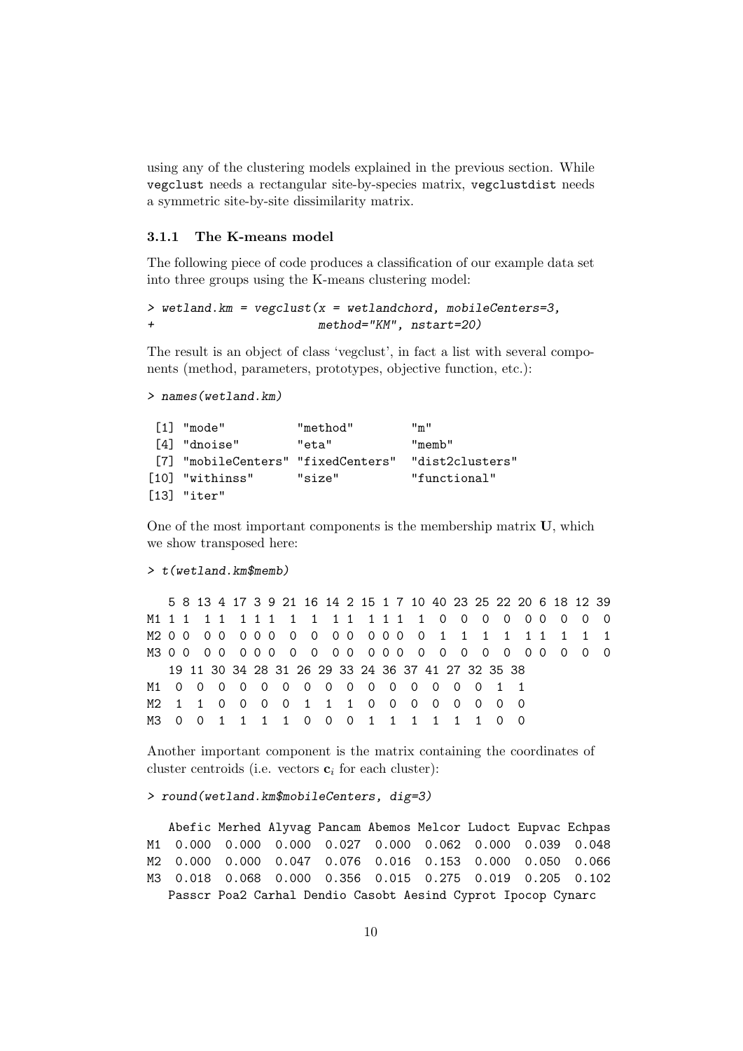using any of the clustering models explained in the previous section. While vegclust needs a rectangular site-by-species matrix, vegclustdist needs a symmetric site-by-site dissimilarity matrix.

## 3.1.1 The K-means model

The following piece of code produces a classification of our example data set into three groups using the K-means clustering model:

```
> wetland.km = vegclust(x = wetlandchord, mobileCenters=3,
                        method="KM", nstart=20)
```
The result is an object of class 'vegclust', in fact a list with several components (method, parameters, prototypes, objective function, etc.):

```
> names(wetland.km)
```

| $[1]$ "mode"                       | "method" | $\mathbf{m}$ $\mathbf{m}$ |
|------------------------------------|----------|---------------------------|
| [4] "dnoise"                       | "eta"    | "memb"                    |
| [7] "mobileCenters" "fixedCenters" |          | "dist2clusters"           |
| [10] "withinss"                    | "size"   | "functional"              |
| $[13]$ "iter"                      |          |                           |

One of the most important components is the membership matrix U, which we show transposed here:

#### > t(wetland.km\$memb)

|  |  |  |  |  |  |  |  | 5 8 13 4 17 3 9 21 16 14 2 15 1 7 10 40 23 25 22 20 6 18 12 39 |  |  |  |  |
|--|--|--|--|--|--|--|--|----------------------------------------------------------------|--|--|--|--|
|  |  |  |  |  |  |  |  |                                                                |  |  |  |  |
|  |  |  |  |  |  |  |  |                                                                |  |  |  |  |
|  |  |  |  |  |  |  |  |                                                                |  |  |  |  |
|  |  |  |  |  |  |  |  | 19 11 30 34 28 31 26 29 33 24 36 37 41 27 32 35 38             |  |  |  |  |
|  |  |  |  |  |  |  |  | M1 0 0 0 0 0 0 0 0 0 0 0 0 0 0 1 1                             |  |  |  |  |
|  |  |  |  |  |  |  |  | M2 1 1 0 0 0 0 1 1 1 0 0 0 0 0 0 0 0                           |  |  |  |  |
|  |  |  |  |  |  |  |  | M3 0 0 1 1 1 1 0 0 0 1 1 1 1 1 1 0 0                           |  |  |  |  |

Another important component is the matrix containing the coordinates of cluster centroids (i.e. vectors  $\mathbf{c}_i$  for each cluster):

> round(wetland.km\$mobileCenters, dig=3)

Abefic Merhed Alyvag Pancam Abemos Melcor Ludoct Eupvac Echpas M1 0.000 0.000 0.000 0.027 0.000 0.062 0.000 0.039 0.048 M2 0.000 0.000 0.047 0.076 0.016 0.153 0.000 0.050 0.066 M3 0.018 0.068 0.000 0.356 0.015 0.275 0.019 0.205 0.102 Passcr Poa2 Carhal Dendio Casobt Aesind Cyprot Ipocop Cynarc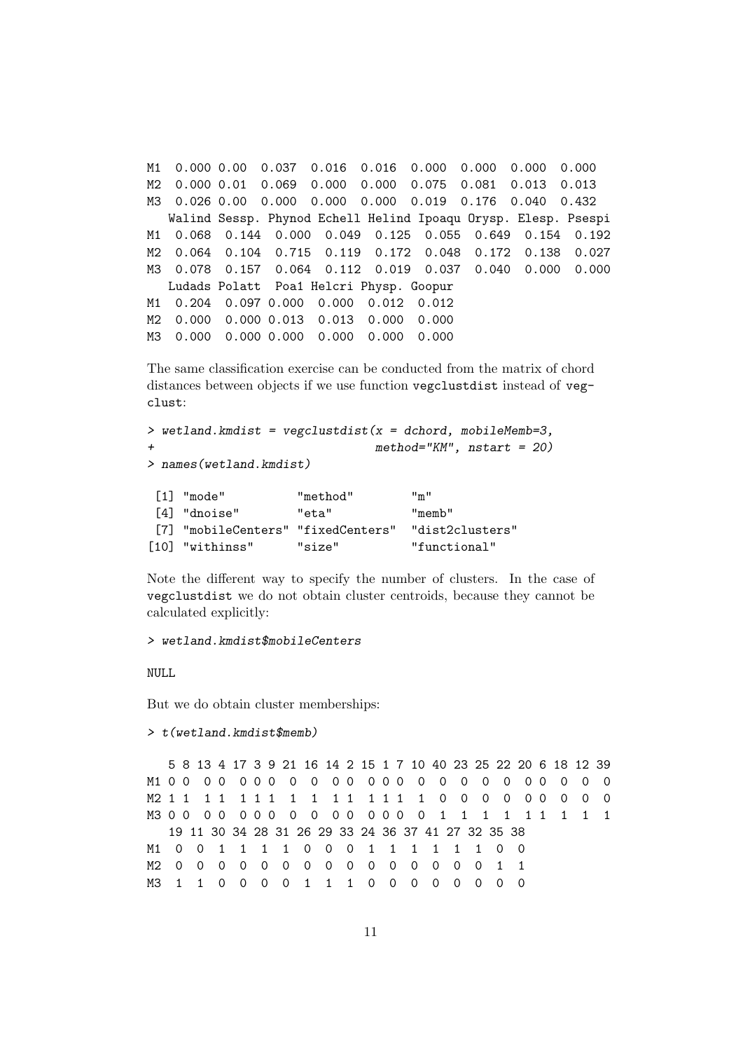M1 0.000 0.00 0.037 0.016 0.016 0.000 0.000 0.000 0.000 M2 0.000 0.01 0.069 0.000 0.000 0.075 0.081 0.013 0.013 M3 0.026 0.00 0.000 0.000 0.000 0.019 0.176 0.040 0.432 Walind Sessp. Phynod Echell Helind Ipoaqu Orysp. Elesp. Psespi M1 0.068 0.144 0.000 0.049 0.125 0.055 0.649 0.154 0.192 M2 0.064 0.104 0.715 0.119 0.172 0.048 0.172 0.138 0.027 M3 0.078 0.157 0.064 0.112 0.019 0.037 0.040 0.000 0.000 Ludads Polatt Poa1 Helcri Physp. Goopur M1 0.204 0.097 0.000 0.000 0.012 0.012 M2 0.000 0.000 0.013 0.013 0.000 0.000 M3 0.000 0.000 0.000 0.000 0.000 0.000

The same classification exercise can be conducted from the matrix of chord distances between objects if we use function vegclustdist instead of vegclust:

```
> wetland.kmdist = vegclustdist(x = dchord, mobileMemb=3,
+ method="KM", nstart = 20)
> names(wetland.kmdist)
[1] "mode" "method" "m"
[4] "dnoise" "eta" "memb"
[7] "mobileCenters" "fixedCenters" "dist2clusters"
[10] "withinss" "size" "functional"
```
Note the different way to specify the number of clusters. In the case of vegclustdist we do not obtain cluster centroids, because they cannot be calculated explicitly:

```
> wetland.kmdist$mobileCenters
```
NULL

But we do obtain cluster memberships:

```
\geq t(wetland.kmdist$memb)
```
5 8 13 4 17 3 9 21 16 14 2 15 1 7 10 40 23 25 22 20 6 18 12 39 M1 0 0 0 0 0 0 0 0 0 0 0 0 0 0 0 0 0 0 0 0 0 0 0 0 M2 1 1 1 1 1 1 1 1 1 1 1 1 1 1 1 0 0 0 0 0 0 0 0 0 M3 0 0 0 0 0 0 0 0 0 0 0 0 0 0 0 0 0 1 1 1 1 1 1 1 1 1 1 19 11 30 34 28 31 26 29 33 24 36 37 41 27 32 35 38 M1 0 0 1 1 1 1 0 0 0 1 1 1 1 1 1 0 0 M2 0 0 0 0 0 0 0 0 0 0 0 0 0 0 0 1 1 M3 1 1 0 0 0 0 1 1 1 0 0 0 0 0 0 0 0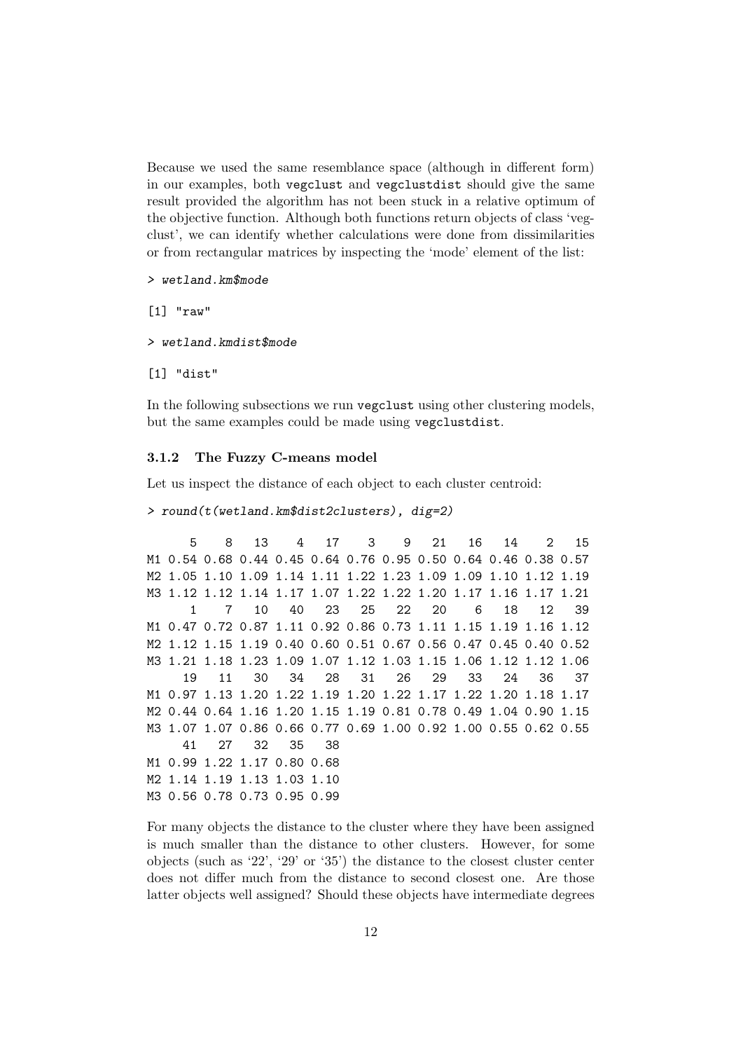Because we used the same resemblance space (although in different form) in our examples, both vegclust and vegclustdist should give the same result provided the algorithm has not been stuck in a relative optimum of the objective function. Although both functions return objects of class 'vegclust', we can identify whether calculations were done from dissimilarities or from rectangular matrices by inspecting the 'mode' element of the list:

## > wetland.km\$mode

[1] "raw"

#### > wetland.kmdist\$mode

[1] "dist"

In the following subsections we run vegclust using other clustering models, but the same examples could be made using vegclustdist.

## 3.1.2 The Fuzzy C-means model

Let us inspect the distance of each object to each cluster centroid:

```
> round(t(wetland.km$dist2clusters), dig=2)
```
5 8 13 4 17 3 9 21 16 14 2 15 M1 0.54 0.68 0.44 0.45 0.64 0.76 0.95 0.50 0.64 0.46 0.38 0.57 M2 1.05 1.10 1.09 1.14 1.11 1.22 1.23 1.09 1.09 1.10 1.12 1.19 M3 1.12 1.12 1.14 1.17 1.07 1.22 1.22 1.20 1.17 1.16 1.17 1.21 1 7 10 40 23 25 22 20 6 18 12 39 M1 0.47 0.72 0.87 1.11 0.92 0.86 0.73 1.11 1.15 1.19 1.16 1.12 M2 1.12 1.15 1.19 0.40 0.60 0.51 0.67 0.56 0.47 0.45 0.40 0.52 M3 1.21 1.18 1.23 1.09 1.07 1.12 1.03 1.15 1.06 1.12 1.12 1.06 19 11 30 34 28 31 26 29 33 24 36 37 M1 0.97 1.13 1.20 1.22 1.19 1.20 1.22 1.17 1.22 1.20 1.18 1.17 M2 0.44 0.64 1.16 1.20 1.15 1.19 0.81 0.78 0.49 1.04 0.90 1.15 M3 1.07 1.07 0.86 0.66 0.77 0.69 1.00 0.92 1.00 0.55 0.62 0.55 41 27 32 35 38 M1 0.99 1.22 1.17 0.80 0.68 M2 1.14 1.19 1.13 1.03 1.10 M3 0.56 0.78 0.73 0.95 0.99

For many objects the distance to the cluster where they have been assigned is much smaller than the distance to other clusters. However, for some objects (such as '22', '29' or '35') the distance to the closest cluster center does not differ much from the distance to second closest one. Are those latter objects well assigned? Should these objects have intermediate degrees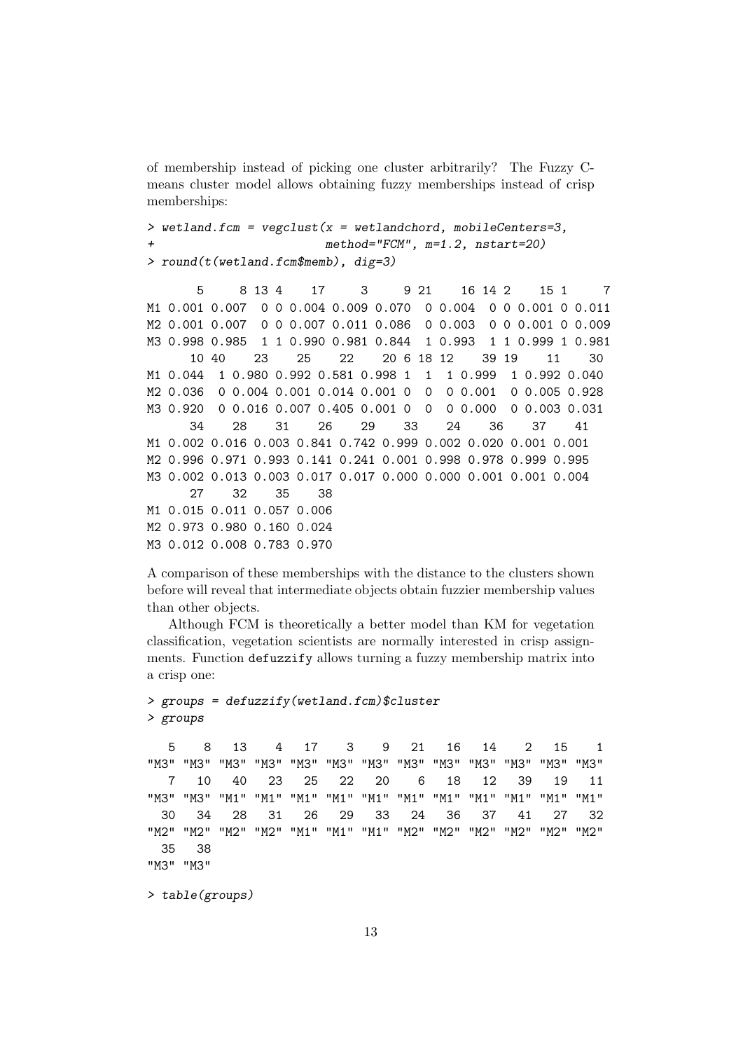of membership instead of picking one cluster arbitrarily? The Fuzzy Cmeans cluster model allows obtaining fuzzy memberships instead of crisp memberships:

```
> wetland.fcm = vegclust(x = wetlandchord, mobileCenters=3,
                         method="FCM", m=1.2, nstart=20)> round(t(wetland.fcm$memb), dig=3)
```
5 8 13 4 17 3 9 21 16 14 2 15 1 7 M1 0.001 0.007 0 0 0.004 0.009 0.070 0 0.004 0 0 0.001 0 0.011 M2 0.001 0.007 0 0 0.007 0.011 0.086 0 0.003 0 0 0.001 0 0.009 M3 0.998 0.985 1 1 0.990 0.981 0.844 1 0.993 1 1 0.999 1 0.981 10 40 23 25 22 20 6 18 12 39 19 11 30 M1 0.044 1 0.980 0.992 0.581 0.998 1 1 1 0.999 1 0.992 0.040 M2 0.036 0 0.004 0.001 0.014 0.001 0 0 0 0.001 0 0.005 0.928 M3 0.920 0 0.016 0.007 0.405 0.001 0 0 0 0.000 0 0.003 0.031 34 28 31 26 29 33 24 36 37 41 M1 0.002 0.016 0.003 0.841 0.742 0.999 0.002 0.020 0.001 0.001 M2 0.996 0.971 0.993 0.141 0.241 0.001 0.998 0.978 0.999 0.995 M3 0.002 0.013 0.003 0.017 0.017 0.000 0.000 0.001 0.001 0.004 27 32 35 38 M1 0.015 0.011 0.057 0.006 M2 0.973 0.980 0.160 0.024 M3 0.012 0.008 0.783 0.970

A comparison of these memberships with the distance to the clusters shown before will reveal that intermediate objects obtain fuzzier membership values than other objects.

Although FCM is theoretically a better model than KM for vegetation classification, vegetation scientists are normally interested in crisp assignments. Function defuzzify allows turning a fuzzy membership matrix into a crisp one:

```
> groups = defuzzify(wetland.fcm)$cluster
> groups
  5 8 13 4 17 3 9 21 16 14 2 15 1
"M3" "M3" "M3" "M3" "M3" "M3" "M3" "M3" "M3" "M3" "M3" "M3" "M3"
  7 10 40 23 25 22 20 6 18 12 39 19 11
"M3" "M3" "M1" "M1" "M1" "M1" "M1" "M1" "M1" "M1" "M1" "M1" "M1"
 30 34 28 31 26 29 33 24 36 37 41 27 32
"M2" "M2" "M2" "M2" "M1" "M1" "M1" "M2" "M2" "M2" "M2" "M2" "M2"
 35 38
"M3" "M3"
> table(groups)
```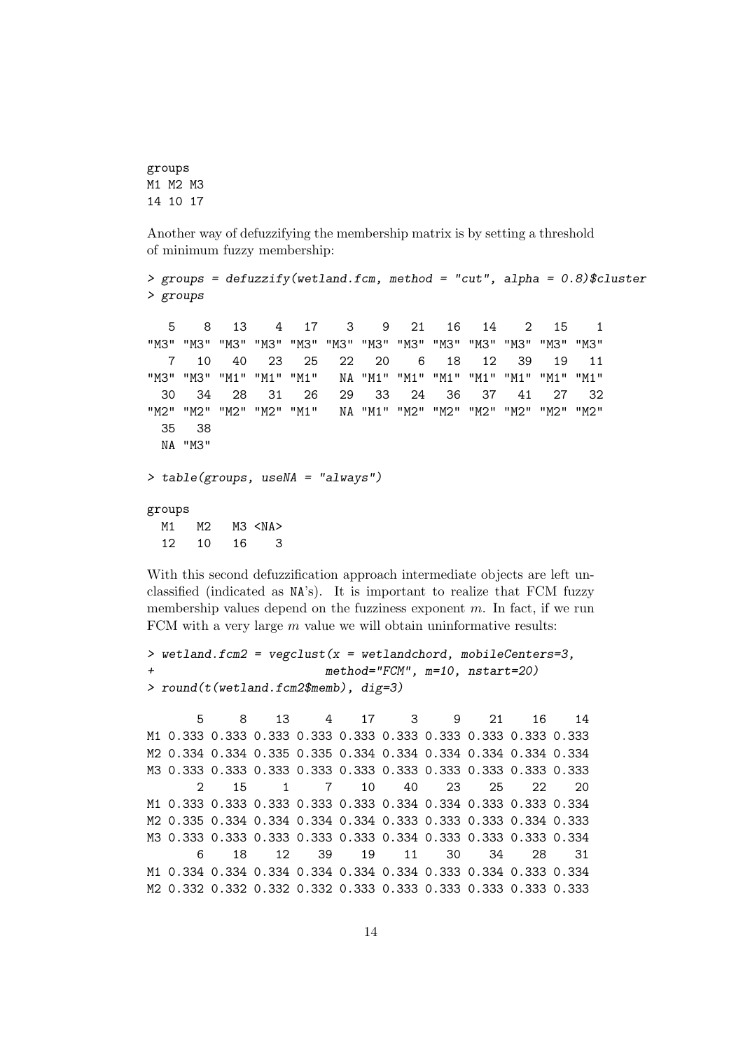```
groups
M1 M2 M3
14 10 17
```
Another way of defuzzifying the membership matrix is by setting a threshold of minimum fuzzy membership:

```
> groups = defuzzify(wetland.fcm, method = "cut", alpha = 0.8)$cluster
> groups
  5 8 13 4 17 3 9 21 16 14 2 15 1
"M3" "M3" "M3" "M3" "M3" "M3" "M3" "M3" "M3" "M3" "M3" "M3" "M3"
  7 10 40 23 25 22 20 6 18 12 39 19 11
"M3" "M3" "M1" "M1" "M1" NA "M1" "M1" "M1" "M1" "M1" "M1" "M1"
 30 34 28 31 26 29 33 24 36 37 41 27 32
"M2" "M2" "M2" "M2" "M1" NA "M1" "M2" "M2" "M2" "M2" "M2" "M2"
 35 38
 NA "M3"
> table(groups, useNA = "always")
groups
 M1 M2 M3 <NA>
 12 10 16 3
```
With this second defuzzification approach intermediate objects are left unclassified (indicated as NA's). It is important to realize that FCM fuzzy membership values depend on the fuzziness exponent  $m$ . In fact, if we run FCM with a very large  $m$  value we will obtain uninformative results:

```
> wetland.fcm2 = vegclust(x = wetlandchord, mobileCenters=3,+ method="FCM", m=10, nstart=20)
> round(t(wetland.fcm2$memb), dig=3)
```
5 8 13 4 17 3 9 21 16 14 M1 0.333 0.333 0.333 0.333 0.333 0.333 0.333 0.333 0.333 0.333 M2 0.334 0.334 0.335 0.335 0.334 0.334 0.334 0.334 0.334 0.334 M3 0.333 0.333 0.333 0.333 0.333 0.333 0.333 0.333 0.333 0.333 2 15 1 7 10 40 23 25 22 20 M1 0.333 0.333 0.333 0.333 0.333 0.334 0.334 0.333 0.333 0.334 M2 0.335 0.334 0.334 0.334 0.334 0.333 0.333 0.333 0.334 0.333 M3 0.333 0.333 0.333 0.333 0.333 0.334 0.333 0.333 0.333 0.334 6 18 12 39 19 11 30 34 28 31 M1 0.334 0.334 0.334 0.334 0.334 0.334 0.333 0.334 0.333 0.334 M2 0.332 0.332 0.332 0.332 0.333 0.333 0.333 0.333 0.333 0.333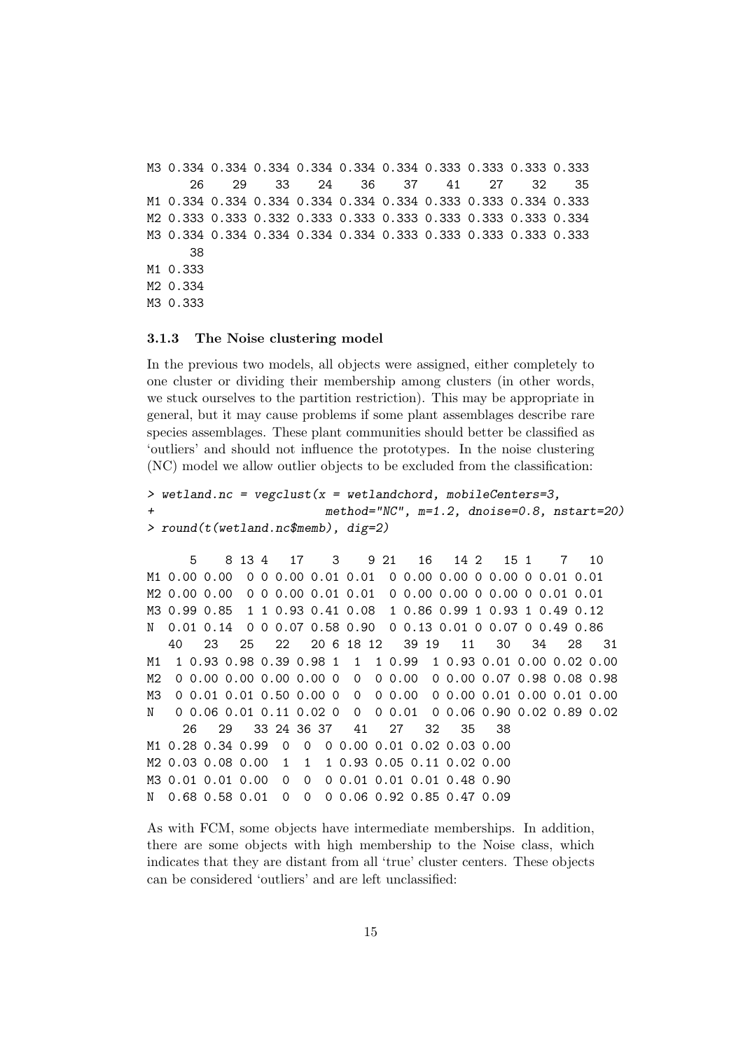M3 0.334 0.334 0.334 0.334 0.334 0.334 0.333 0.333 0.333 0.333 26 29 33 24 36 37 41 27 32 35 M1 0.334 0.334 0.334 0.334 0.334 0.334 0.333 0.333 0.334 0.333 M2 0.333 0.333 0.332 0.333 0.333 0.333 0.333 0.333 0.333 0.334 M3 0.334 0.334 0.334 0.334 0.334 0.333 0.333 0.333 0.333 0.333 38 M1 0.333 M2 0.334 M3 0.333

#### 3.1.3 The Noise clustering model

In the previous two models, all objects were assigned, either completely to one cluster or dividing their membership among clusters (in other words, we stuck ourselves to the partition restriction). This may be appropriate in general, but it may cause problems if some plant assemblages describe rare species assemblages. These plant communities should better be classified as 'outliers' and should not influence the prototypes. In the noise clustering (NC) model we allow outlier objects to be excluded from the classification:

```
> wetland.nc = vegclust(x = wetlandchord, mobileCenters=3,
+ method="NC", m=1.2, dnoise=0.8, nstart=20)
> round(t(wetland.nc$memb), dig=2)
```
5 8 13 4 17 3 9 21 16 14 2 15 1 7 10 M1 0.00 0.00 0 0 0.00 0.01 0.01 0 0.00 0.00 0 0.00 0 0.01 0.01 M2 0.00 0.00 0 0 0.00 0.01 0.01 0 0.00 0.00 0 0.00 0 0.01 0.01 M3 0.99 0.85 1 1 0.93 0.41 0.08 1 0.86 0.99 1 0.93 1 0.49 0.12 N 0.01 0.14 0 0 0.07 0.58 0.90 0 0.13 0.01 0 0.07 0 0.49 0.86 40 23 25 22 20 6 18 12 39 19 11 30 34 28 31 M1 1 0.93 0.98 0.39 0.98 1 1 1 0.99 1 0.93 0.01 0.00 0.02 0.00 M2 0 0.00 0.00 0.00 0.00 0 0 0 0.00 0 0.00 0.07 0.98 0.08 0.98 M3 0 0.01 0.01 0.50 0.00 0 0 0 0.00 0 0.00 0.01 0.00 0.01 0.00 N 0 0.06 0.01 0.11 0.02 0 0 0 0.01 0 0.06 0.90 0.02 0.89 0.02 26 29 33 24 36 37 41 27 32 35 38 M1 0.28 0.34 0.99 0 0 0 0.00 0.01 0.02 0.03 0.00 M2 0.03 0.08 0.00 1 1 1 0.93 0.05 0.11 0.02 0.00 M3 0.01 0.01 0.00 0 0 0 0.01 0.01 0.01 0.48 0.90 N 0.68 0.58 0.01 0 0 0 0.06 0.92 0.85 0.47 0.09

As with FCM, some objects have intermediate memberships. In addition, there are some objects with high membership to the Noise class, which indicates that they are distant from all 'true' cluster centers. These objects can be considered 'outliers' and are left unclassified: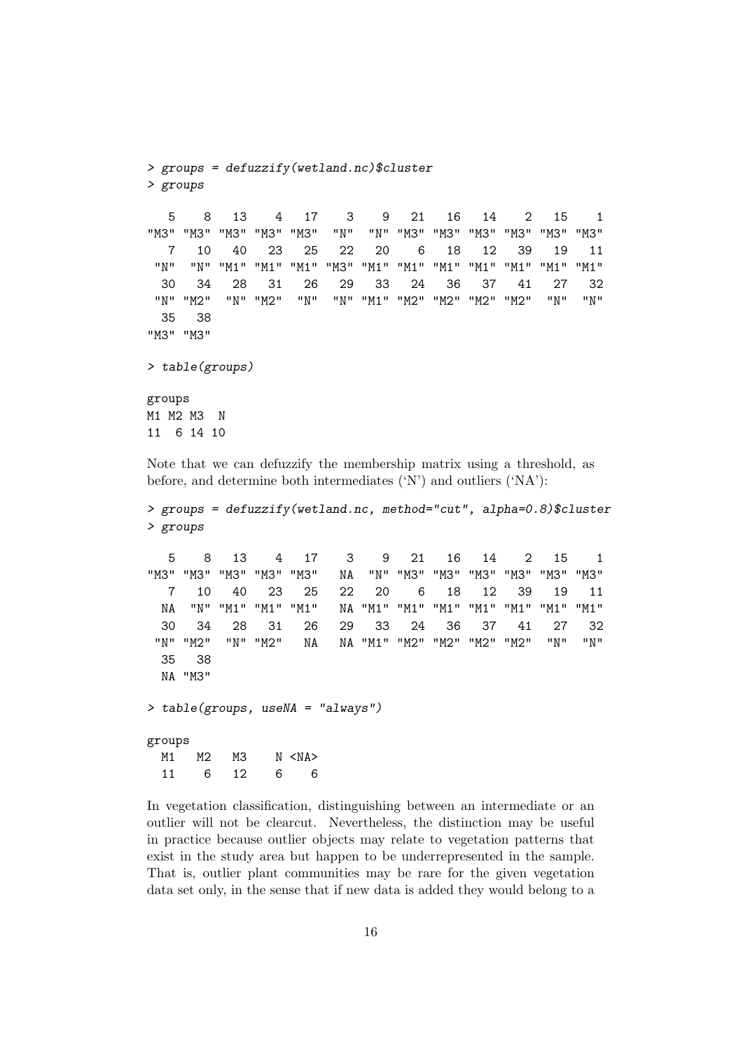```
> groups = defuzzify(wetland.nc)$cluster
> groups
  5 8 13 4 17 3 9 21 16 14 2 15 1
"M3" "M3" "M3" "M3" "M3" "N" "N" "M3" "M3" "M3" "M3" "M3" "M3"
  7 10 40 23 25 22 20 6 18 12 39 19 11
 "N" "N" "M1" "M1" "M1" "M3" "M1" "M1" "M1" "M1" "M1" "M1" "M1"
 30 34 28 31 26 29 33 24 36 37 41 27 32
"N" "M2" "N" "M2" "N" "N" "M1" "M2" "M2" "M2" "M2" "N" "N"
 35 38
"M3" "M3"
> table(groups)
groups
M1 M2 M3 N
11 6 14 10
```
Note that we can defuzzify the membership matrix using a threshold, as before, and determine both intermediates ('N') and outliers ('NA'):

```
> groups = defuzzify(wetland.nc, method="cut", alpha=0.8)$cluster
> groups
  5 8 13 4 17 3 9 21 16 14 2 15 1
"M3" "M3" "M3" "M3" "M3" NA "N" "M3" "M3" "M3" "M3" "M3" "M3"
  7 10 40 23 25 22 20 6 18 12 39 19 11
 NA "N" "M1" "M1" "M1" NA "M1" "M1" "M1" "M1" "M1" "M1" "M1"
 30 34 28 31 26 29 33 24 36 37 41 27 32
 "N" "M2" "N" "M2" NA NA "M1" "M2" "M2" "M2" "M2" "N" "N"
 35 38
 NA "M3"
> table(groups, useNA = "always")
groups
 M1 M2 M3 N <NA>
 11 6 12 6 6
```
In vegetation classification, distinguishing between an intermediate or an outlier will not be clearcut. Nevertheless, the distinction may be useful in practice because outlier objects may relate to vegetation patterns that exist in the study area but happen to be underrepresented in the sample. That is, outlier plant communities may be rare for the given vegetation data set only, in the sense that if new data is added they would belong to a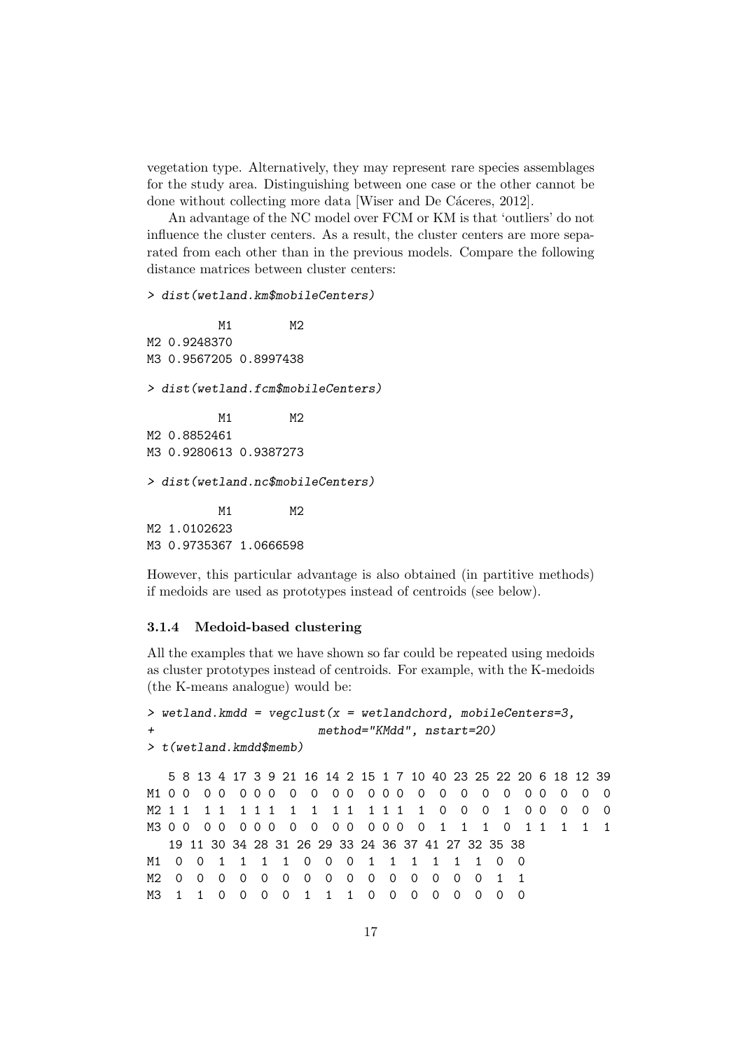vegetation type. Alternatively, they may represent rare species assemblages for the study area. Distinguishing between one case or the other cannot be done without collecting more data [Wiser and De Cáceres, 2012].

An advantage of the NC model over FCM or KM is that 'outliers' do not influence the cluster centers. As a result, the cluster centers are more separated from each other than in the previous models. Compare the following distance matrices between cluster centers:

## > dist(wetland.km\$mobileCenters)

M1 M2 M2 0.9248370 M3 0.9567205 0.8997438 > dist(wetland.fcm\$mobileCenters) M1 M2 M2 0.8852461 M3 0.9280613 0.9387273 > dist(wetland.nc\$mobileCenters) M1 M2 M2 1.0102623 M3 0.9735367 1.0666598

However, this particular advantage is also obtained (in partitive methods) if medoids are used as prototypes instead of centroids (see below).

## 3.1.4 Medoid-based clustering

All the examples that we have shown so far could be repeated using medoids as cluster prototypes instead of centroids. For example, with the K-medoids (the K-means analogue) would be:

```
> wetland.kmdd = vegclust(x = wetlandchord, mobileCenters=3,
+ method="KMdd", nstart=20)
> t(wetland.kmdd$memb)
  5 8 13 4 17 3 9 21 16 14 2 15 1 7 10 40 23 25 22 20 6 18 12 39
M1 0 0 0 0 0 0 0 0 0 0 0 0 0 0 0 0 0 0 0 0 0 0 0 0
M2 1 1 1 1 1 1 1 1 1 1 1 1 1 1 1 0 0 0 1 0 0 0 0 0
M3 0 0 0 0 0 0 0 0 0 0 0 0 0 0 0 1 1 1 0 1 1 1 1 1
  19 11 30 34 28 31 26 29 33 24 36 37 41 27 32 35 38
M1 0 0 1 1 1 1 0 0 0 1 1 1 1 1 1 0 0
M2 0 0 0 0 0 0 0 0 0 0 0 0 0 0 0 1 1
M3 1 1 0 0 0 0 1 1 1 0 0 0 0 0 0 0 0
```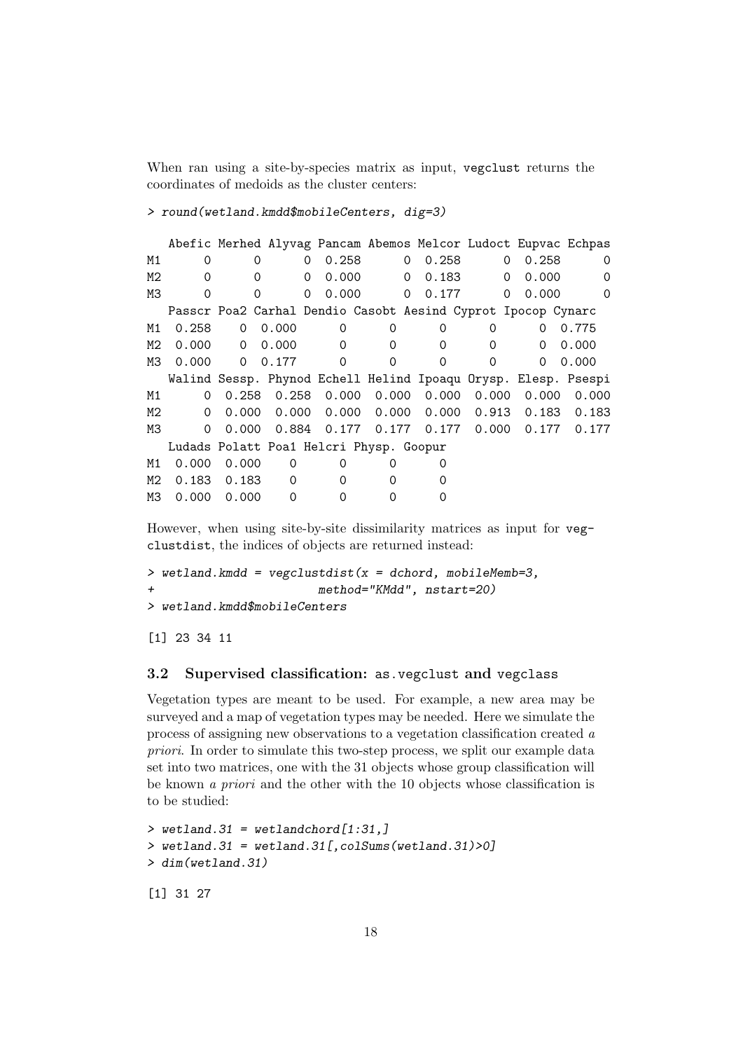When ran using a site-by-species matrix as input, vegclust returns the coordinates of medoids as the cluster centers:

#### > round(wetland.kmdd\$mobileCenters, dig=3)

Abefic Merhed Alyvag Pancam Abemos Melcor Ludoct Eupvac Echpas M1 0 0 0 0.258 0 0.258 0 0.258 0 M2 0 0 0 0.000 0 0.183 0 0.000 0 M3 0 0 0 0.000 0 0.177 0 0.000 0 Passcr Poa2 Carhal Dendio Casobt Aesind Cyprot Ipocop Cynarc M1 0.258 0 0.000 0 0 0 0 0 0.775 M2 0.000 0 0.000 0 0 0 0 0 0 0.000 M3 0.000 0 0.177 0 0 0 0 0 0.000 Walind Sessp. Phynod Echell Helind Ipoaqu Orysp. Elesp. Psespi M1 0 0.258 0.258 0.000 0.000 0.000 0.000 0.000 0.000 M2 0 0.000 0.000 0.000 0.000 0.000 0.913 0.183 0.183 M3 0 0.000 0.884 0.177 0.177 0.177 0.000 0.177 0.177 Ludads Polatt Poa1 Helcri Physp. Goopur M1 0.000 0.000 0 0 0 0 0 M2 0.183 0.183 0 0 0 0 0 M3 0.000 0.000 0 0 0 0 0

However, when using site-by-site dissimilarity matrices as input for vegclustdist, the indices of objects are returned instead:

```
> wetland.kmdd = vegclustdist(x = dchord, mobileMemb=3,
+ method="KMdd", nstart=20)
> wetland.kmdd$mobileCenters
```
[1] 23 34 11

## 3.2 Supervised classification: as.vegclust and vegclass

Vegetation types are meant to be used. For example, a new area may be surveyed and a map of vegetation types may be needed. Here we simulate the process of assigning new observations to a vegetation classification created a priori. In order to simulate this two-step process, we split our example data set into two matrices, one with the 31 objects whose group classification will be known a priori and the other with the 10 objects whose classification is to be studied:

 $>$  wetland.31 = wetlandchord $[1:31,]$  $>$  wetland.31 = wetland.31[, colSums(wetland.31) $>0$ ] > dim(wetland.31) [1] 31 27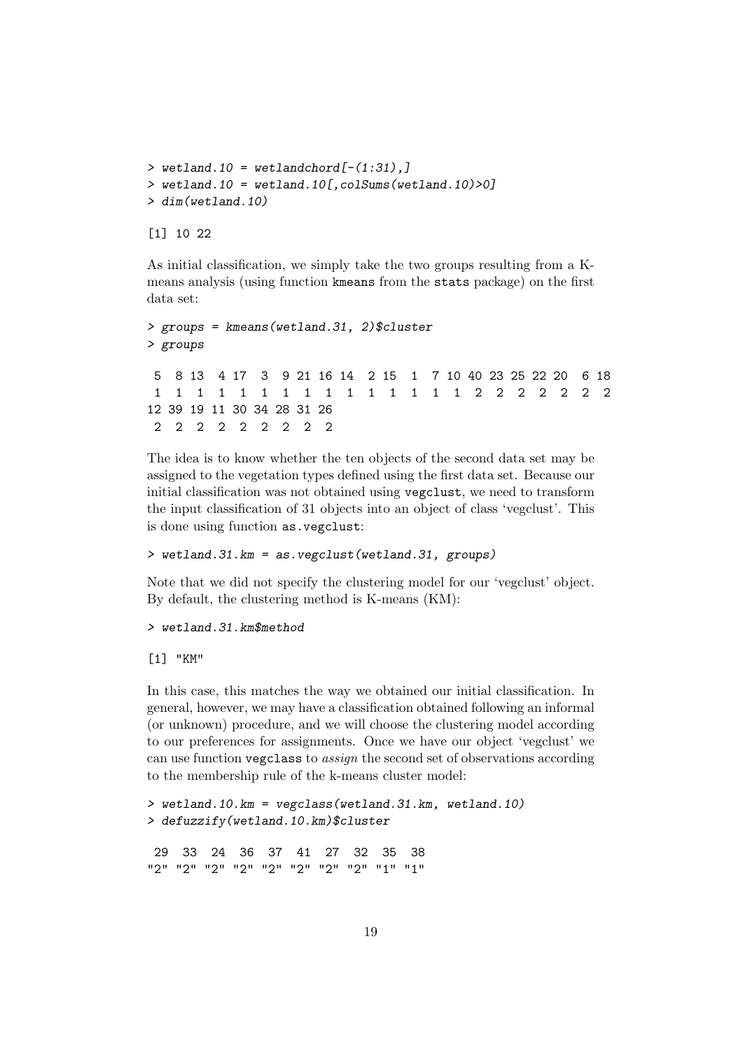```
> wetland.10 = wetlandchord[-(1:31),]
> wetland.10 = wetland.10[, colSums(wetland.10)>0]
> dim(wetland.10)
```
[1] 10 22

As initial classification, we simply take the two groups resulting from a Kmeans analysis (using function kmeans from the stats package) on the first data set:

```
> groups = kmeans(wetland.31, 2)$cluster
> groups
5 8 13 4 17 3 9 21 16 14 2 15 1 7 10 40 23 25 22 20 6 18
1 1 1 1 1 1 1 1 1 1 1 1 1 1 1 2 2 2 2 2 2 2
12 39 19 11 30 34 28 31 26
2 2 2 2 2 2 2 2 2
```
The idea is to know whether the ten objects of the second data set may be assigned to the vegetation types defined using the first data set. Because our initial classification was not obtained using vegclust, we need to transform the input classification of 31 objects into an object of class 'vegclust'. This is done using function as.vegclust:

> wetland.31.km = as.vegclust(wetland.31, groups)

Note that we did not specify the clustering model for our 'vegclust' object. By default, the clustering method is K-means (KM):

> wetland.31.km\$method

[1] "KM"

In this case, this matches the way we obtained our initial classification. In general, however, we may have a classification obtained following an informal (or unknown) procedure, and we will choose the clustering model according to our preferences for assignments. Once we have our object 'vegclust' we can use function vegclass to assign the second set of observations according to the membership rule of the k-means cluster model:

> wetland.10.km = vegclass(wetland.31.km, wetland.10) > defuzzify(wetland.10.km)\$cluster 29 33 24 36 37 41 27 32 35 38 "2" "2" "2" "2" "2" "2" "2" "2" "1" "1"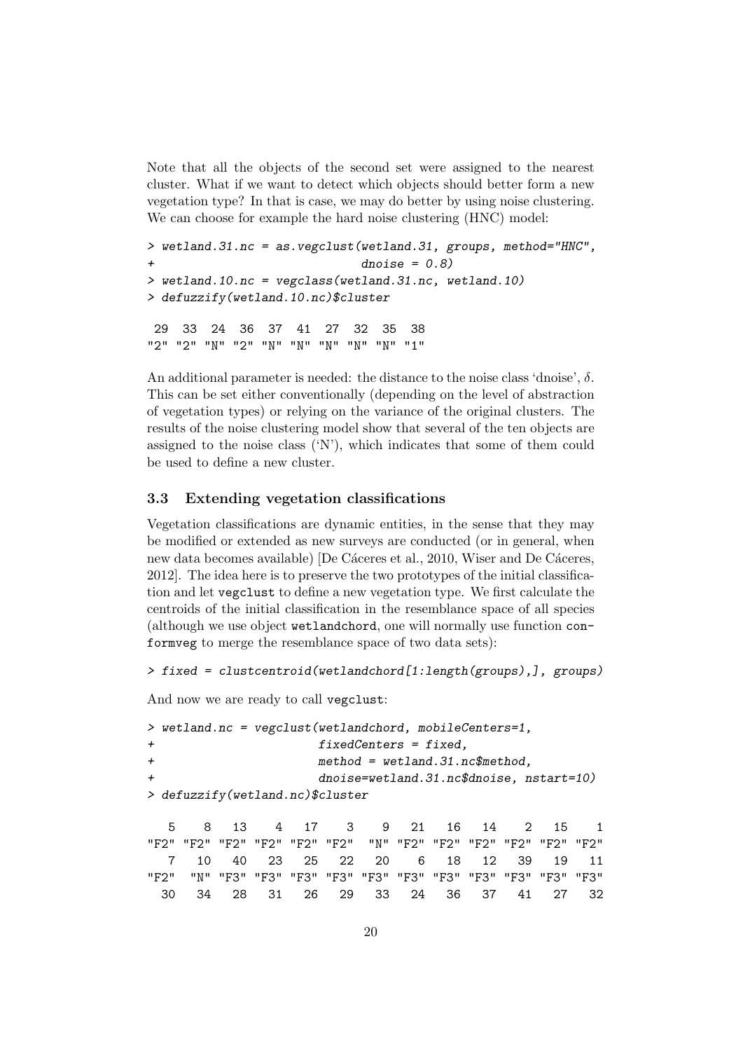Note that all the objects of the second set were assigned to the nearest cluster. What if we want to detect which objects should better form a new vegetation type? In that is case, we may do better by using noise clustering. We can choose for example the hard noise clustering (HNC) model:

```
> wetland.31.nc = as.vegclust(wetland.31, groups, method="HNC",
+ dnoise = 0.8)
> wetland.10.nc = vegclass(wetland.31.nc, wetland.10)
> defuzzify(wetland.10.nc)$cluster
    29 33 24 36 37 41 27 32 35 38
"2" "2" "N" "2" "N" "N" "N" "N" "N" "1"
```
An additional parameter is needed: the distance to the noise class 'dnoise',  $\delta$ . This can be set either conventionally (depending on the level of abstraction of vegetation types) or relying on the variance of the original clusters. The results of the noise clustering model show that several of the ten objects are assigned to the noise class  $(Y)$ , which indicates that some of them could be used to define a new cluster.

## 3.3 Extending vegetation classifications

Vegetation classifications are dynamic entities, in the sense that they may be modified or extended as new surveys are conducted (or in general, when new data becomes available) [De Cáceres et al., 2010, Wiser and De Cáceres, 2012]. The idea here is to preserve the two prototypes of the initial classification and let vegclust to define a new vegetation type. We first calculate the centroids of the initial classification in the resemblance space of all species (although we use object wetlandchord, one will normally use function conformveg to merge the resemblance space of two data sets):

```
> fixed = clustcentroid(wetlandchord[1:length(groups),], groups)
```
And now we are ready to call vegclust:

```
> wetland.nc = vegclust(wetlandchord, mobileCenters=1,
+ fixedCenters = fixed,
+ method = wetland.31.nc$method,
+ dnoise=wetland.31.nc$dnoise, nstart=10)
> defuzzify(wetland.nc)$cluster
```
5 8 13 4 17 3 9 21 16 14 2 15 1 "F2" "F2" "F2" "F2" "F2" "F2" "N" "F2" "F2" "F2" "F2" "F2" "F2" 7 10 40 23 25 22 20 6 18 12 39 19 11 "F2" "N" "F3" "F3" "F3" "F3" "F3" "F3" "F3" "F3" "F3" "F3" "F3" 30 34 28 31 26 29 33 24 36 37 41 27 32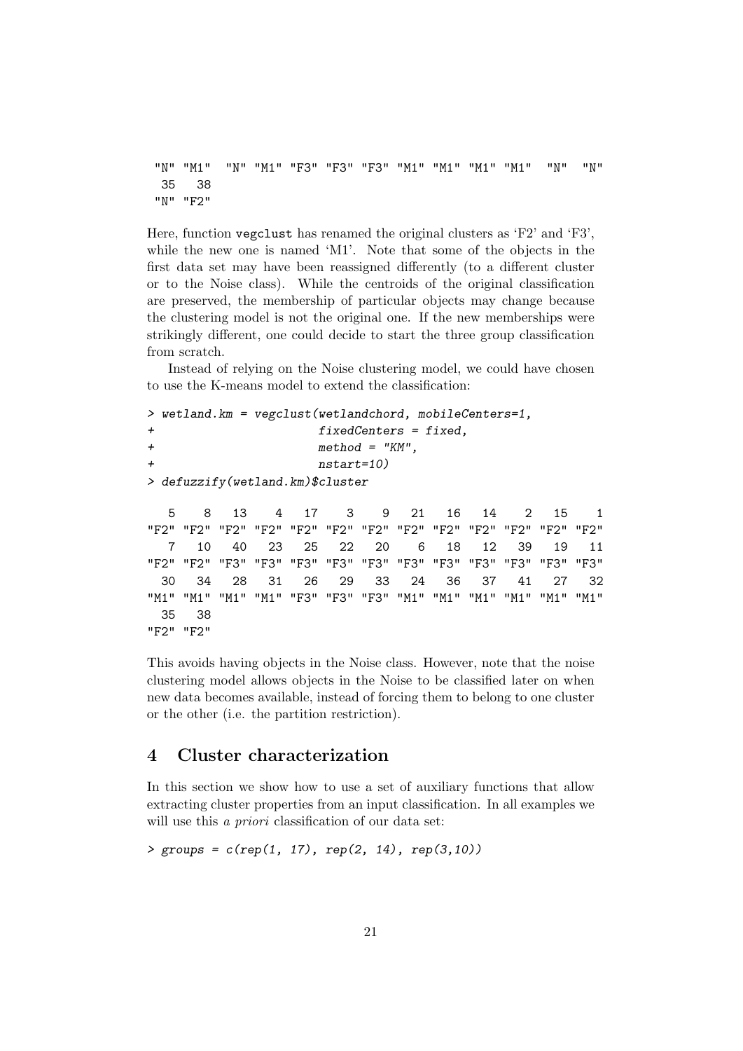```
"N" "M1" "N" "M1" "F3" "F3" "F3" "M1" "M1" "M1" "M1" "N" "N"
 35 38
"N" "F2"
```
Here, function vegclust has renamed the original clusters as 'F2' and 'F3', while the new one is named 'M1'. Note that some of the objects in the first data set may have been reassigned differently (to a different cluster or to the Noise class). While the centroids of the original classification are preserved, the membership of particular objects may change because the clustering model is not the original one. If the new memberships were strikingly different, one could decide to start the three group classification from scratch.

Instead of relying on the Noise clustering model, we could have chosen to use the K-means model to extend the classification:

```
> wetland.km = vegclust(wetlandchord, mobileCenters=1,
+ fixedCenters = fixed,
+ method = "KM",
+ nstart=10)
> defuzzify(wetland.km)$cluster
```
5 8 13 4 17 3 9 21 16 14 2 15 1 "F2" "F2" "F2" "F2" "F2" "F2" "F2" "F2" "F2" "F2" "F2" "F2" "F2" 7 10 40 23 25 22 20 6 18 12 39 19 11 "F2" "F2" "F3" "F3" "F3" "F3" "F3" "F3" "F3" "F3" "F3" "F3" "F3" 30 34 28 31 26 29 33 24 36 37 41 27 32 "M1" "M1" "M1" "M1" "F3" "F3" "F3" "M1" "M1" "M1" "M1" "M1" "M1" 35 38 "F2" "F2"

This avoids having objects in the Noise class. However, note that the noise clustering model allows objects in the Noise to be classified later on when new data becomes available, instead of forcing them to belong to one cluster or the other (i.e. the partition restriction).

## 4 Cluster characterization

In this section we show how to use a set of auxiliary functions that allow extracting cluster properties from an input classification. In all examples we will use this *a priori* classification of our data set:

```
> groups = c(rep(1, 17), rep(2, 14), rep(3,10))
```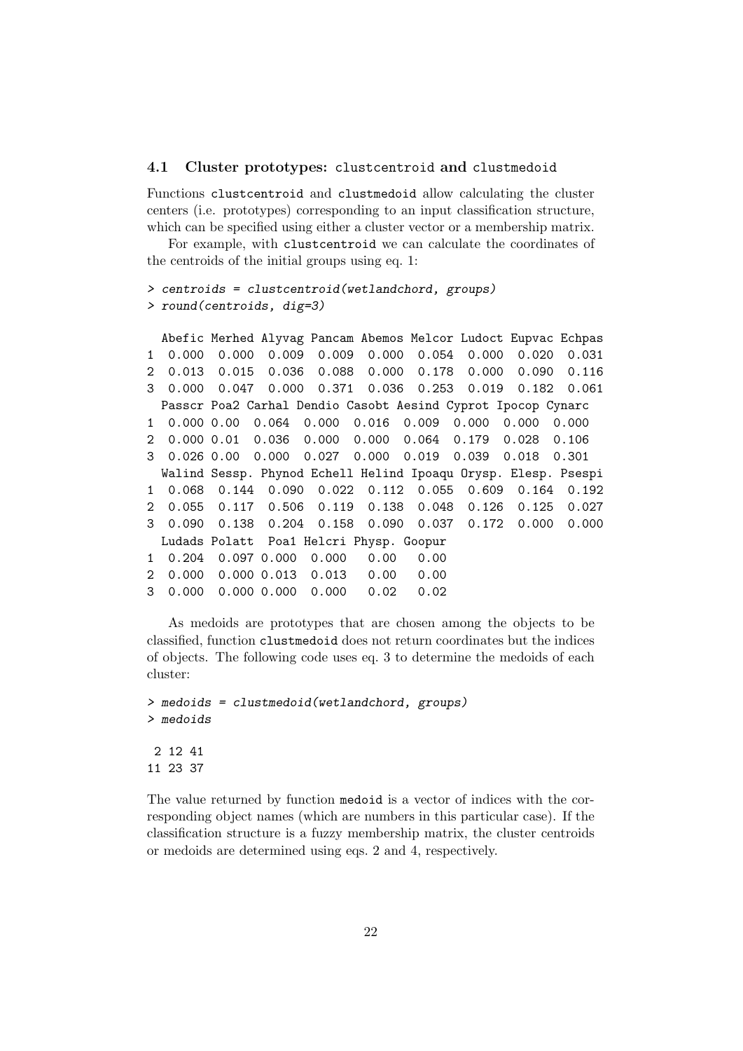#### 4.1 Cluster prototypes: clustcentroid and clustmedoid

Functions clustcentroid and clustmedoid allow calculating the cluster centers (i.e. prototypes) corresponding to an input classification structure, which can be specified using either a cluster vector or a membership matrix.

For example, with clustcentroid we can calculate the coordinates of the centroids of the initial groups using eq. 1:

```
> centroids = clustcentroid(wetlandchord, groups)
> round(centroids, dig=3)
```

```
Abefic Merhed Alyvag Pancam Abemos Melcor Ludoct Eupvac Echpas
1 0.000 0.000 0.009 0.009 0.000 0.054 0.000 0.020 0.031
2 0.013 0.015 0.036 0.088 0.000 0.178 0.000 0.090 0.116
3 0.000 0.047 0.000 0.371 0.036 0.253 0.019 0.182 0.061
 Passcr Poa2 Carhal Dendio Casobt Aesind Cyprot Ipocop Cynarc
1 0.000 0.00 0.064 0.000 0.016 0.009 0.000 0.000 0.000
2 0.000 0.01 0.036 0.000 0.000 0.064 0.179 0.028 0.106
3 0.026 0.00 0.000 0.027 0.000 0.019 0.039 0.018 0.301
 Walind Sessp. Phynod Echell Helind Ipoaqu Orysp. Elesp. Psespi
1 0.068 0.144 0.090 0.022 0.112 0.055 0.609 0.164 0.192
2 0.055 0.117 0.506 0.119 0.138 0.048 0.126 0.125 0.027
3 0.090 0.138 0.204 0.158 0.090 0.037 0.172 0.000 0.000
 Ludads Polatt Poa1 Helcri Physp. Goopur
1 0.204 0.097 0.000 0.000 0.00 0.00
2 0.000 0.000 0.013 0.013 0.00 0.00
3 0.000 0.000 0.000 0.000 0.02 0.02
```
As medoids are prototypes that are chosen among the objects to be classified, function clustmedoid does not return coordinates but the indices of objects. The following code uses eq. 3 to determine the medoids of each cluster:

```
> medoids = clustmedoid(wetlandchord, groups)
> medoids
2 12 41
11 23 37
```
The value returned by function medoid is a vector of indices with the corresponding object names (which are numbers in this particular case). If the classification structure is a fuzzy membership matrix, the cluster centroids or medoids are determined using eqs. 2 and 4, respectively.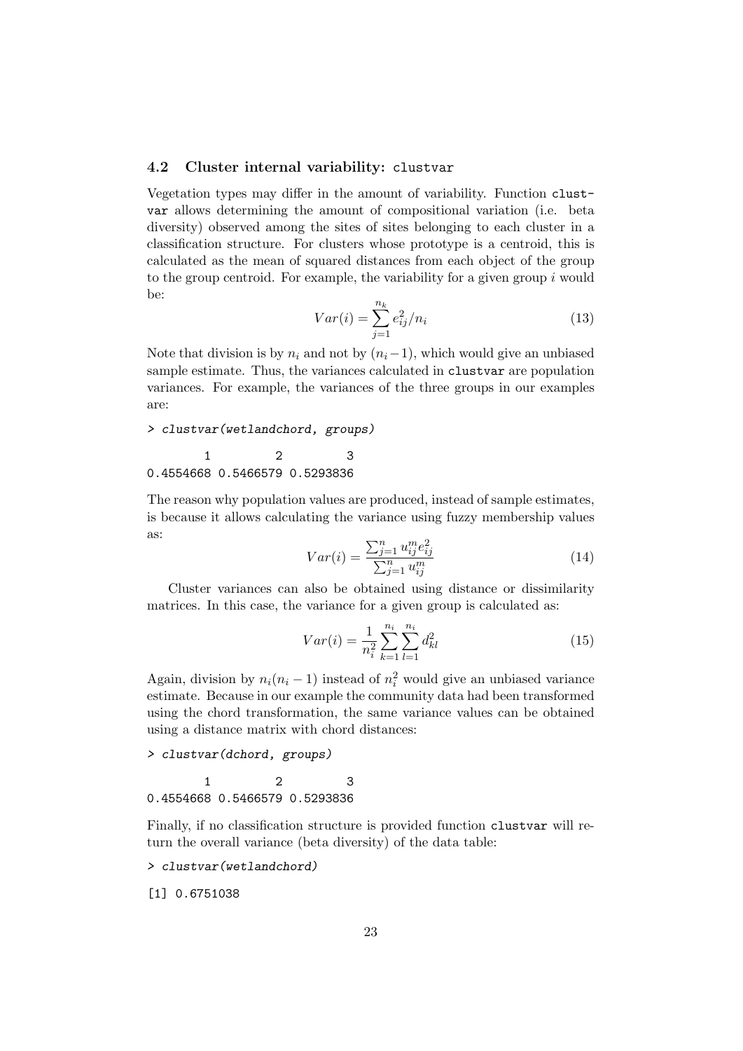## 4.2 Cluster internal variability: clustvar

Vegetation types may differ in the amount of variability. Function clustvar allows determining the amount of compositional variation (i.e. beta diversity) observed among the sites of sites belonging to each cluster in a classification structure. For clusters whose prototype is a centroid, this is calculated as the mean of squared distances from each object of the group to the group centroid. For example, the variability for a given group  $i$  would be:

$$
Var(i) = \sum_{j=1}^{n_k} e_{ij}^2 / n_i
$$
\n(13)

Note that division is by  $n_i$  and not by  $(n_i-1)$ , which would give an unbiased sample estimate. Thus, the variances calculated in clustvar are population variances. For example, the variances of the three groups in our examples are:

> clustvar(wetlandchord, groups)

$$
\begin{array}{rr}\n & 1 \\
0.4554668 & 0.5466579 & 0.5293836\n\end{array}
$$

The reason why population values are produced, instead of sample estimates, is because it allows calculating the variance using fuzzy membership values as:

$$
Var(i) = \frac{\sum_{j=1}^{n} u_{ij}^{m} e_{ij}^{2}}{\sum_{j=1}^{n} u_{ij}^{m}}
$$
\n(14)

Cluster variances can also be obtained using distance or dissimilarity matrices. In this case, the variance for a given group is calculated as:

$$
Var(i) = \frac{1}{n_i^2} \sum_{k=1}^{n_i} \sum_{l=1}^{n_i} d_{kl}^2
$$
 (15)

Again, division by  $n_i(n_i - 1)$  instead of  $n_i^2$  would give an unbiased variance estimate. Because in our example the community data had been transformed using the chord transformation, the same variance values can be obtained using a distance matrix with chord distances:

> clustvar(dchord, groups)

```
1 2 3
0.4554668 0.5466579 0.5293836
```
Finally, if no classification structure is provided function clustvar will return the overall variance (beta diversity) of the data table:

> clustvar(wetlandchord)

[1] 0.6751038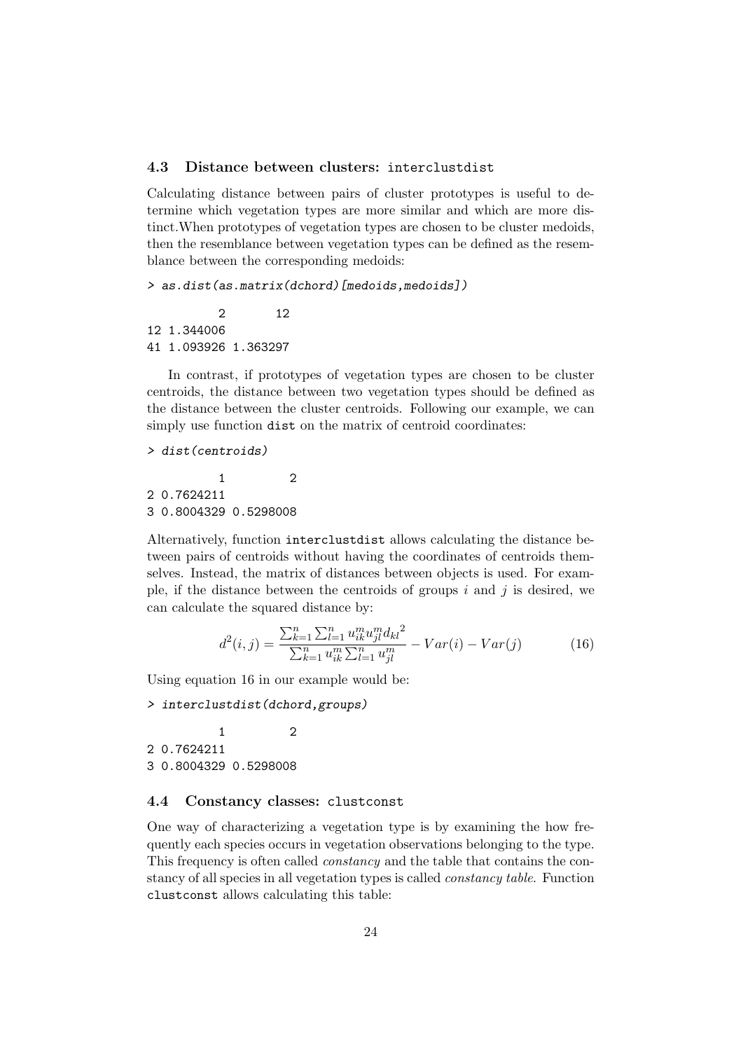## 4.3 Distance between clusters: interclustdist

Calculating distance between pairs of cluster prototypes is useful to determine which vegetation types are more similar and which are more distinct.When prototypes of vegetation types are chosen to be cluster medoids, then the resemblance between vegetation types can be defined as the resemblance between the corresponding medoids:

> as.dist(as.matrix(dchord)[medoids,medoids])

2 12 12 1.344006 41 1.093926 1.363297

In contrast, if prototypes of vegetation types are chosen to be cluster centroids, the distance between two vegetation types should be defined as the distance between the cluster centroids. Following our example, we can simply use function dist on the matrix of centroid coordinates:

> dist(centroids)

1 2 2 0.7624211 3 0.8004329 0.5298008

Alternatively, function interclustdist allows calculating the distance between pairs of centroids without having the coordinates of centroids themselves. Instead, the matrix of distances between objects is used. For example, if the distance between the centroids of groups  $i$  and  $j$  is desired, we can calculate the squared distance by:

$$
d^{2}(i,j) = \frac{\sum_{k=1}^{n} \sum_{l=1}^{n} u_{ik}^{m} u_{jl}^{m} d_{kl}^{2}}{\sum_{k=1}^{n} u_{ik}^{m} \sum_{l=1}^{n} u_{jl}^{m}} - Var(i) - Var(j)
$$
(16)

Using equation 16 in our example would be:

> interclustdist(dchord,groups)

1 2 2 0.7624211 3 0.8004329 0.5298008

## 4.4 Constancy classes: clustconst

One way of characterizing a vegetation type is by examining the how frequently each species occurs in vegetation observations belonging to the type. This frequency is often called constancy and the table that contains the constancy of all species in all vegetation types is called constancy table. Function clustconst allows calculating this table: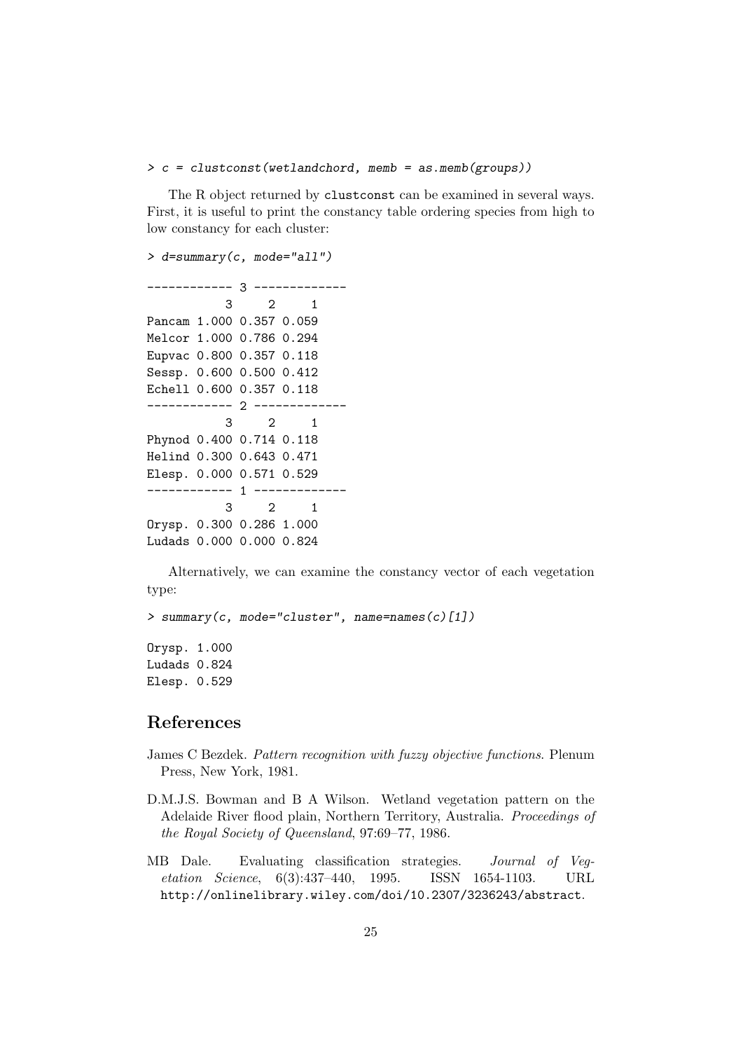#### $> c = cluster const (wetlandchord, memb = as. memb (groups))$

The R object returned by clustconst can be examined in several ways. First, it is useful to print the constancy table ordering species from high to low constancy for each cluster:

```
> d=summary(c, mode="all")
   ------------ 3 -------------
          3 2 1
Pancam 1.000 0.357 0.059
Melcor 1.000 0.786 0.294
Eupvac 0.800 0.357 0.118
Sessp. 0.600 0.500 0.412
Echell 0.600 0.357 0.118
------------ 2 -------------
          3 2 1
Phynod 0.400 0.714 0.118
Helind 0.300 0.643 0.471
Elesp. 0.000 0.571 0.529
----------- 1 ----
           3 2 1
Orysp. 0.300 0.286 1.000
Ludads 0.000 0.000 0.824
```
Alternatively, we can examine the constancy vector of each vegetation type:

> summary(c, mode="cluster", name=names(c)[1]) Orysp. 1.000 Ludads 0.824

Elesp. 0.529

## References

- James C Bezdek. Pattern recognition with fuzzy objective functions. Plenum Press, New York, 1981.
- D.M.J.S. Bowman and B A Wilson. Wetland vegetation pattern on the Adelaide River flood plain, Northern Territory, Australia. Proceedings of the Royal Society of Queensland, 97:69–77, 1986.
- MB Dale. Evaluating classification strategies. Journal of Vegetation Science, 6(3):437–440, 1995. ISSN 1654-1103. URL http://onlinelibrary.wiley.com/doi/10.2307/3236243/abstract.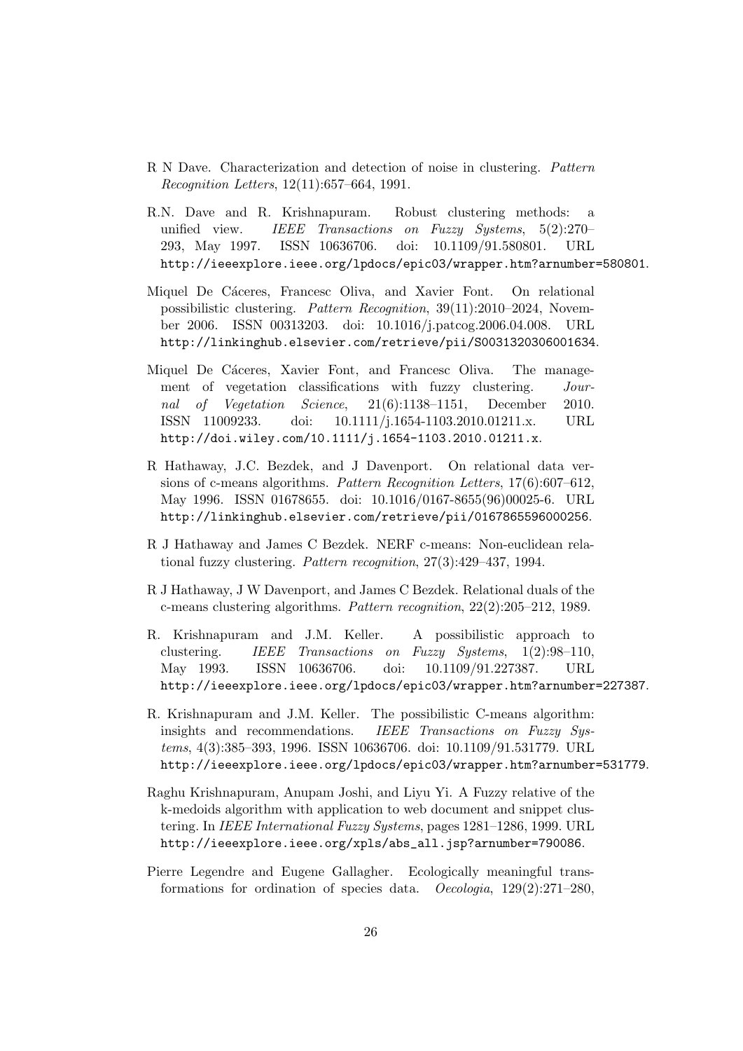- R N Dave. Characterization and detection of noise in clustering. Pattern Recognition Letters, 12(11):657–664, 1991.
- R.N. Dave and R. Krishnapuram. Robust clustering methods: a unified view. IEEE Transactions on Fuzzy Systems, 5(2):270– 293, May 1997. ISSN 10636706. doi: 10.1109/91.580801. URL http://ieeexplore.ieee.org/lpdocs/epic03/wrapper.htm?arnumber=580801.
- Miquel De Cáceres, Francesc Oliva, and Xavier Font. On relational possibilistic clustering. Pattern Recognition, 39(11):2010–2024, November 2006. ISSN 00313203. doi: 10.1016/j.patcog.2006.04.008. URL http://linkinghub.elsevier.com/retrieve/pii/S0031320306001634.
- Miquel De Cáceres, Xavier Font, and Francesc Oliva. The management of vegetation classifications with fuzzy clustering. Journal of Vegetation Science, 21(6):1138–1151, December 2010. ISSN 11009233. doi: 10.1111/j.1654-1103.2010.01211.x. URL http://doi.wiley.com/10.1111/j.1654-1103.2010.01211.x.
- R Hathaway, J.C. Bezdek, and J Davenport. On relational data versions of c-means algorithms. Pattern Recognition Letters, 17(6):607–612, May 1996. ISSN 01678655. doi: 10.1016/0167-8655(96)00025-6. URL http://linkinghub.elsevier.com/retrieve/pii/0167865596000256.
- R J Hathaway and James C Bezdek. NERF c-means: Non-euclidean relational fuzzy clustering. Pattern recognition, 27(3):429–437, 1994.
- R J Hathaway, J W Davenport, and James C Bezdek. Relational duals of the c-means clustering algorithms. Pattern recognition, 22(2):205–212, 1989.
- R. Krishnapuram and J.M. Keller. A possibilistic approach to clustering. IEEE Transactions on Fuzzy Systems, 1(2):98–110, May 1993. ISSN 10636706. doi: 10.1109/91.227387. URL http://ieeexplore.ieee.org/lpdocs/epic03/wrapper.htm?arnumber=227387.
- R. Krishnapuram and J.M. Keller. The possibilistic C-means algorithm: insights and recommendations. IEEE Transactions on Fuzzy Systems, 4(3):385–393, 1996. ISSN 10636706. doi: 10.1109/91.531779. URL http://ieeexplore.ieee.org/lpdocs/epic03/wrapper.htm?arnumber=531779.
- Raghu Krishnapuram, Anupam Joshi, and Liyu Yi. A Fuzzy relative of the k-medoids algorithm with application to web document and snippet clustering. In IEEE International Fuzzy Systems, pages 1281–1286, 1999. URL http://ieeexplore.ieee.org/xpls/abs\_all.jsp?arnumber=790086.
- Pierre Legendre and Eugene Gallagher. Ecologically meaningful transformations for ordination of species data. Oecologia, 129(2):271–280,